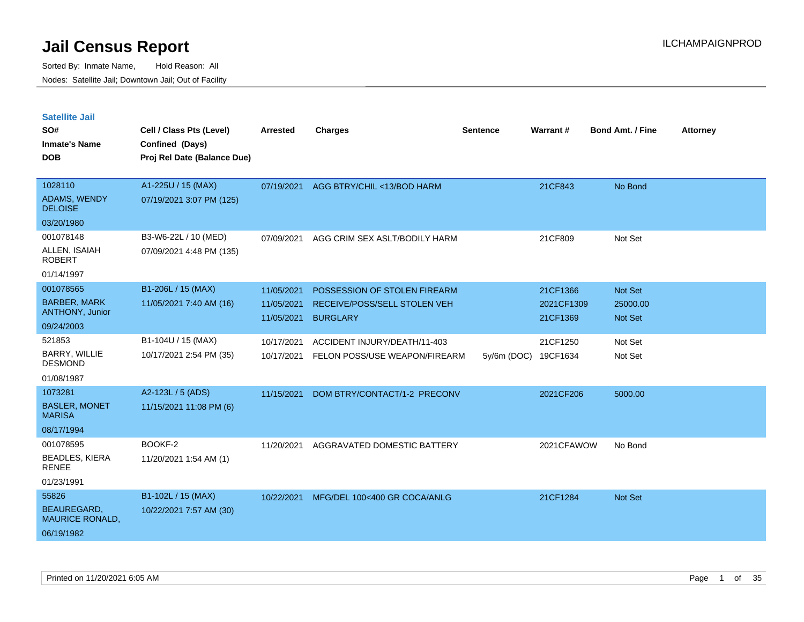| <b>Satellite Jail</b>                        |                             |                          |                                                               |                 |                      |                         |                 |
|----------------------------------------------|-----------------------------|--------------------------|---------------------------------------------------------------|-----------------|----------------------|-------------------------|-----------------|
| SO#                                          | Cell / Class Pts (Level)    | <b>Arrested</b>          | <b>Charges</b>                                                | <b>Sentence</b> | <b>Warrant#</b>      | <b>Bond Amt. / Fine</b> | <b>Attorney</b> |
| <b>Inmate's Name</b>                         | Confined (Days)             |                          |                                                               |                 |                      |                         |                 |
| <b>DOB</b>                                   | Proj Rel Date (Balance Due) |                          |                                                               |                 |                      |                         |                 |
| 1028110                                      | A1-225U / 15 (MAX)          | 07/19/2021               | AGG BTRY/CHIL <13/BOD HARM                                    |                 | 21CF843              | No Bond                 |                 |
| <b>ADAMS, WENDY</b><br><b>DELOISE</b>        | 07/19/2021 3:07 PM (125)    |                          |                                                               |                 |                      |                         |                 |
| 03/20/1980                                   |                             |                          |                                                               |                 |                      |                         |                 |
| 001078148                                    | B3-W6-22L / 10 (MED)        | 07/09/2021               | AGG CRIM SEX ASLT/BODILY HARM                                 |                 | 21CF809              | Not Set                 |                 |
| ALLEN, ISAIAH<br><b>ROBERT</b>               | 07/09/2021 4:48 PM (135)    |                          |                                                               |                 |                      |                         |                 |
| 01/14/1997                                   |                             |                          |                                                               |                 |                      |                         |                 |
| 001078565                                    | B1-206L / 15 (MAX)          | 11/05/2021               | POSSESSION OF STOLEN FIREARM                                  |                 | 21CF1366             | <b>Not Set</b>          |                 |
| <b>BARBER, MARK</b>                          | 11/05/2021 7:40 AM (16)     | 11/05/2021               | RECEIVE/POSS/SELL STOLEN VEH                                  |                 | 2021CF1309           | 25000.00                |                 |
| <b>ANTHONY, Junior</b><br>09/24/2003         |                             | 11/05/2021               | <b>BURGLARY</b>                                               |                 | 21CF1369             | <b>Not Set</b>          |                 |
| 521853                                       | B1-104U / 15 (MAX)          |                          |                                                               |                 |                      |                         |                 |
| <b>BARRY, WILLIE</b>                         | 10/17/2021 2:54 PM (35)     | 10/17/2021<br>10/17/2021 | ACCIDENT INJURY/DEATH/11-403<br>FELON POSS/USE WEAPON/FIREARM | 5y/6m (DOC)     | 21CF1250<br>19CF1634 | Not Set<br>Not Set      |                 |
| DESMOND                                      |                             |                          |                                                               |                 |                      |                         |                 |
| 01/08/1987                                   |                             |                          |                                                               |                 |                      |                         |                 |
| 1073281                                      | A2-123L / 5 (ADS)           | 11/15/2021               | DOM BTRY/CONTACT/1-2 PRECONV                                  |                 | 2021CF206            | 5000.00                 |                 |
| <b>BASLER, MONET</b><br><b>MARISA</b>        | 11/15/2021 11:08 PM (6)     |                          |                                                               |                 |                      |                         |                 |
| 08/17/1994                                   |                             |                          |                                                               |                 |                      |                         |                 |
| 001078595                                    | BOOKF-2                     | 11/20/2021               | AGGRAVATED DOMESTIC BATTERY                                   |                 | 2021CFAWOW           | No Bond                 |                 |
| <b>BEADLES, KIERA</b><br><b>RENEE</b>        | 11/20/2021 1:54 AM (1)      |                          |                                                               |                 |                      |                         |                 |
| 01/23/1991                                   |                             |                          |                                                               |                 |                      |                         |                 |
| 55826                                        | B1-102L / 15 (MAX)          | 10/22/2021               | MFG/DEL 100<400 GR COCA/ANLG                                  |                 | 21CF1284             | Not Set                 |                 |
| <b>BEAUREGARD,</b><br><b>MAURICE RONALD,</b> | 10/22/2021 7:57 AM (30)     |                          |                                                               |                 |                      |                         |                 |
| 06/19/1982                                   |                             |                          |                                                               |                 |                      |                         |                 |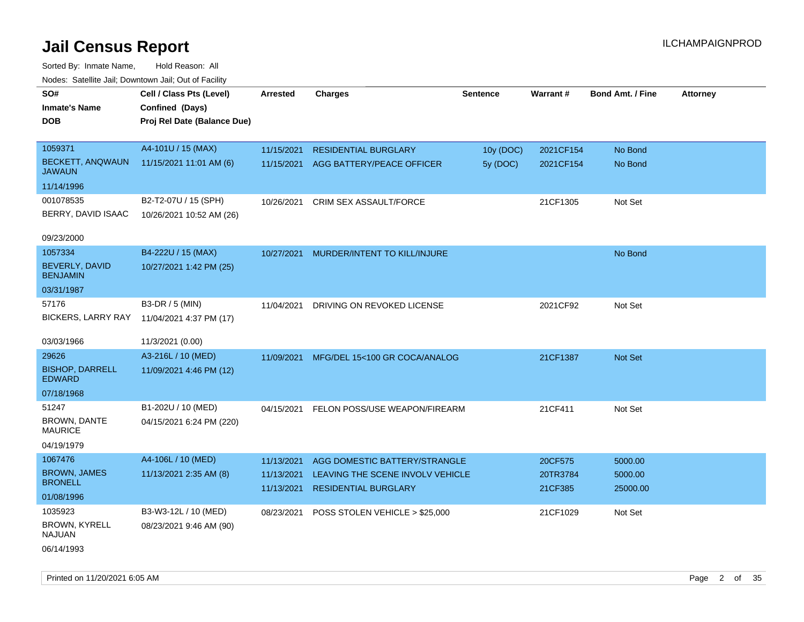| rouco. Calcinic Jan, Downtown Jan, Out of Facility |                             |                 |                                  |                 |                 |                         |                 |
|----------------------------------------------------|-----------------------------|-----------------|----------------------------------|-----------------|-----------------|-------------------------|-----------------|
| SO#                                                | Cell / Class Pts (Level)    | <b>Arrested</b> | <b>Charges</b>                   | <b>Sentence</b> | <b>Warrant#</b> | <b>Bond Amt. / Fine</b> | <b>Attorney</b> |
| <b>Inmate's Name</b>                               | Confined (Days)             |                 |                                  |                 |                 |                         |                 |
| <b>DOB</b>                                         | Proj Rel Date (Balance Due) |                 |                                  |                 |                 |                         |                 |
|                                                    |                             |                 |                                  |                 |                 |                         |                 |
| 1059371                                            | A4-101U / 15 (MAX)          | 11/15/2021      | <b>RESIDENTIAL BURGLARY</b>      | 10y (DOC)       | 2021CF154       | No Bond                 |                 |
| BECKETT, ANQWAUN<br><b>JAWAUN</b>                  | 11/15/2021 11:01 AM (6)     | 11/15/2021      | AGG BATTERY/PEACE OFFICER        | 5y (DOC)        | 2021CF154       | No Bond                 |                 |
| 11/14/1996                                         |                             |                 |                                  |                 |                 |                         |                 |
| 001078535                                          | B2-T2-07U / 15 (SPH)        | 10/26/2021      | <b>CRIM SEX ASSAULT/FORCE</b>    |                 | 21CF1305        | Not Set                 |                 |
| BERRY, DAVID ISAAC                                 | 10/26/2021 10:52 AM (26)    |                 |                                  |                 |                 |                         |                 |
|                                                    |                             |                 |                                  |                 |                 |                         |                 |
| 09/23/2000                                         |                             |                 |                                  |                 |                 |                         |                 |
| 1057334                                            | B4-222U / 15 (MAX)          | 10/27/2021      | MURDER/INTENT TO KILL/INJURE     |                 |                 | No Bond                 |                 |
| <b>BEVERLY, DAVID</b><br><b>BENJAMIN</b>           | 10/27/2021 1:42 PM (25)     |                 |                                  |                 |                 |                         |                 |
| 03/31/1987                                         |                             |                 |                                  |                 |                 |                         |                 |
| 57176                                              | B3-DR / 5 (MIN)             | 11/04/2021      | DRIVING ON REVOKED LICENSE       |                 | 2021CF92        | Not Set                 |                 |
| <b>BICKERS, LARRY RAY</b>                          | 11/04/2021 4:37 PM (17)     |                 |                                  |                 |                 |                         |                 |
|                                                    |                             |                 |                                  |                 |                 |                         |                 |
| 03/03/1966                                         | 11/3/2021 (0.00)            |                 |                                  |                 |                 |                         |                 |
| 29626                                              | A3-216L / 10 (MED)          | 11/09/2021      | MFG/DEL 15<100 GR COCA/ANALOG    |                 | 21CF1387        | <b>Not Set</b>          |                 |
| <b>BISHOP, DARRELL</b><br><b>EDWARD</b>            | 11/09/2021 4:46 PM (12)     |                 |                                  |                 |                 |                         |                 |
| 07/18/1968                                         |                             |                 |                                  |                 |                 |                         |                 |
| 51247                                              | B1-202U / 10 (MED)          | 04/15/2021      | FELON POSS/USE WEAPON/FIREARM    |                 | 21CF411         | Not Set                 |                 |
| <b>BROWN, DANTE</b><br><b>MAURICE</b>              | 04/15/2021 6:24 PM (220)    |                 |                                  |                 |                 |                         |                 |
| 04/19/1979                                         |                             |                 |                                  |                 |                 |                         |                 |
| 1067476                                            | A4-106L / 10 (MED)          | 11/13/2021      | AGG DOMESTIC BATTERY/STRANGLE    |                 | 20CF575         | 5000.00                 |                 |
| <b>BROWN, JAMES</b>                                | 11/13/2021 2:35 AM (8)      | 11/13/2021      | LEAVING THE SCENE INVOLV VEHICLE |                 | 20TR3784        | 5000.00                 |                 |
| <b>BRONELL</b>                                     |                             | 11/13/2021      | <b>RESIDENTIAL BURGLARY</b>      |                 | 21CF385         | 25000.00                |                 |
| 01/08/1996                                         |                             |                 |                                  |                 |                 |                         |                 |
| 1035923                                            | B3-W3-12L / 10 (MED)        | 08/23/2021      | POSS STOLEN VEHICLE > \$25,000   |                 | 21CF1029        | Not Set                 |                 |
| BROWN, KYRELL<br><b>NAJUAN</b>                     | 08/23/2021 9:46 AM (90)     |                 |                                  |                 |                 |                         |                 |
| 06/14/1993                                         |                             |                 |                                  |                 |                 |                         |                 |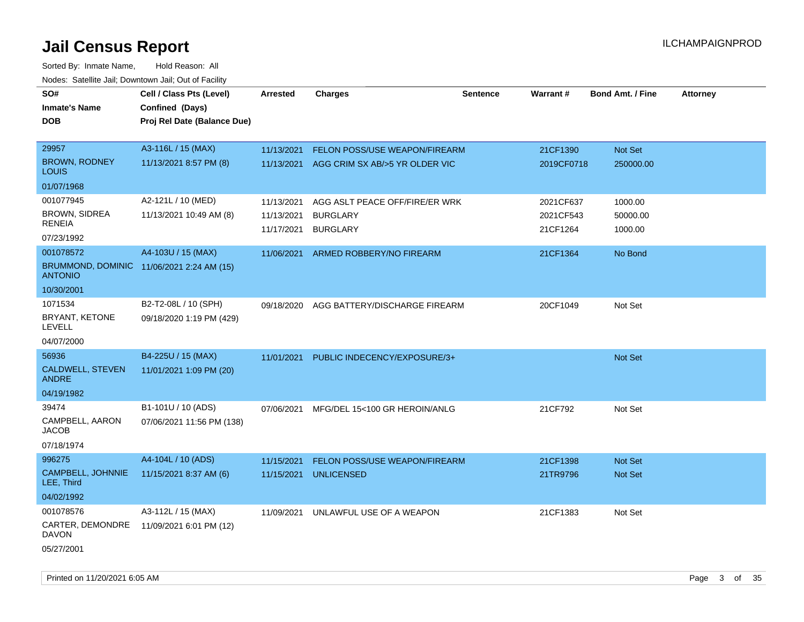Sorted By: Inmate Name, Hold Reason: All Nodes: Satellite Jail; Downtown Jail; Out of Facility

| SO#                                                         | Cell / Class Pts (Level)    | <b>Arrested</b> | <b>Charges</b>                            | <b>Sentence</b> | Warrant#   | <b>Bond Amt. / Fine</b> | <b>Attorney</b> |
|-------------------------------------------------------------|-----------------------------|-----------------|-------------------------------------------|-----------------|------------|-------------------------|-----------------|
| <b>Inmate's Name</b>                                        | Confined (Days)             |                 |                                           |                 |            |                         |                 |
| <b>DOB</b>                                                  | Proj Rel Date (Balance Due) |                 |                                           |                 |            |                         |                 |
|                                                             |                             |                 |                                           |                 |            |                         |                 |
| 29957                                                       | A3-116L / 15 (MAX)          | 11/13/2021      | <b>FELON POSS/USE WEAPON/FIREARM</b>      |                 | 21CF1390   | Not Set                 |                 |
| <b>BROWN, RODNEY</b><br><b>LOUIS</b>                        | 11/13/2021 8:57 PM (8)      |                 | 11/13/2021 AGG CRIM SX AB/>5 YR OLDER VIC |                 | 2019CF0718 | 250000.00               |                 |
| 01/07/1968                                                  |                             |                 |                                           |                 |            |                         |                 |
| 001077945                                                   | A2-121L / 10 (MED)          | 11/13/2021      | AGG ASLT PEACE OFF/FIRE/ER WRK            |                 | 2021CF637  | 1000.00                 |                 |
| <b>BROWN, SIDREA</b><br><b>RENEIA</b>                       | 11/13/2021 10:49 AM (8)     | 11/13/2021      | <b>BURGLARY</b>                           |                 | 2021CF543  | 50000.00                |                 |
| 07/23/1992                                                  |                             | 11/17/2021      | <b>BURGLARY</b>                           |                 | 21CF1264   | 1000.00                 |                 |
| 001078572                                                   | A4-103U / 15 (MAX)          | 11/06/2021      | ARMED ROBBERY/NO FIREARM                  |                 | 21CF1364   | No Bond                 |                 |
| BRUMMOND, DOMINIC 11/06/2021 2:24 AM (15)<br><b>ANTONIO</b> |                             |                 |                                           |                 |            |                         |                 |
| 10/30/2001                                                  |                             |                 |                                           |                 |            |                         |                 |
| 1071534                                                     | B2-T2-08L / 10 (SPH)        | 09/18/2020      | AGG BATTERY/DISCHARGE FIREARM             |                 | 20CF1049   | Not Set                 |                 |
| BRYANT, KETONE<br><b>LEVELL</b>                             | 09/18/2020 1:19 PM (429)    |                 |                                           |                 |            |                         |                 |
| 04/07/2000                                                  |                             |                 |                                           |                 |            |                         |                 |
| 56936                                                       | B4-225U / 15 (MAX)          | 11/01/2021      | PUBLIC INDECENCY/EXPOSURE/3+              |                 |            | Not Set                 |                 |
| <b>CALDWELL, STEVEN</b><br><b>ANDRE</b>                     | 11/01/2021 1:09 PM (20)     |                 |                                           |                 |            |                         |                 |
| 04/19/1982                                                  |                             |                 |                                           |                 |            |                         |                 |
| 39474                                                       | B1-101U / 10 (ADS)          |                 | 07/06/2021 MFG/DEL 15<100 GR HEROIN/ANLG  |                 | 21CF792    | Not Set                 |                 |
| CAMPBELL, AARON<br><b>JACOB</b>                             | 07/06/2021 11:56 PM (138)   |                 |                                           |                 |            |                         |                 |
| 07/18/1974                                                  |                             |                 |                                           |                 |            |                         |                 |
| 996275                                                      | A4-104L / 10 (ADS)          | 11/15/2021      | <b>FELON POSS/USE WEAPON/FIREARM</b>      |                 | 21CF1398   | <b>Not Set</b>          |                 |
| CAMPBELL, JOHNNIE<br>LEE, Third                             | 11/15/2021 8:37 AM (6)      | 11/15/2021      | <b>UNLICENSED</b>                         |                 | 21TR9796   | <b>Not Set</b>          |                 |
| 04/02/1992                                                  |                             |                 |                                           |                 |            |                         |                 |
| 001078576                                                   | A3-112L / 15 (MAX)          | 11/09/2021      | UNLAWFUL USE OF A WEAPON                  |                 | 21CF1383   | Not Set                 |                 |
| CARTER, DEMONDRE<br><b>DAVON</b>                            | 11/09/2021 6:01 PM (12)     |                 |                                           |                 |            |                         |                 |
| 05/27/2001                                                  |                             |                 |                                           |                 |            |                         |                 |

Printed on 11/20/2021 6:05 AM **Page 3 of 35**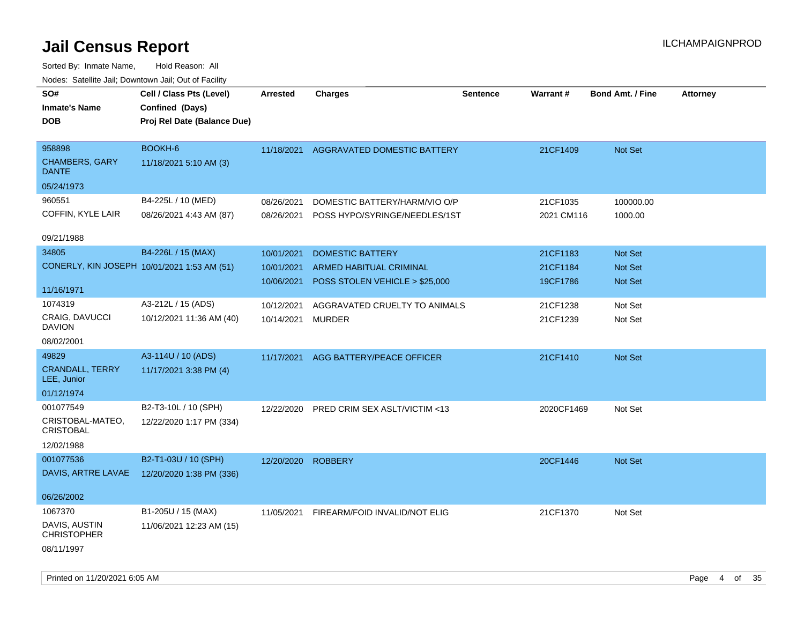| SO#<br><b>Inmate's Name</b><br><b>DOB</b>                     | Cell / Class Pts (Level)<br>Confined (Days)<br>Proj Rel Date (Balance Due) | <b>Arrested</b> | <b>Charges</b>                           | <b>Sentence</b> | <b>Warrant#</b> | <b>Bond Amt. / Fine</b> | Attorney |
|---------------------------------------------------------------|----------------------------------------------------------------------------|-----------------|------------------------------------------|-----------------|-----------------|-------------------------|----------|
| 958898<br><b>CHAMBERS, GARY</b><br><b>DANTE</b><br>05/24/1973 | BOOKH-6<br>11/18/2021 5:10 AM (3)                                          | 11/18/2021      | AGGRAVATED DOMESTIC BATTERY              |                 | 21CF1409        | Not Set                 |          |
| 960551                                                        | B4-225L / 10 (MED)                                                         | 08/26/2021      | DOMESTIC BATTERY/HARM/VIO O/P            |                 | 21CF1035        | 100000.00               |          |
| COFFIN, KYLE LAIR                                             | 08/26/2021 4:43 AM (87)                                                    |                 | 08/26/2021 POSS HYPO/SYRINGE/NEEDLES/1ST |                 | 2021 CM116      | 1000.00                 |          |
| 09/21/1988                                                    |                                                                            |                 |                                          |                 |                 |                         |          |
| 34805                                                         | B4-226L / 15 (MAX)                                                         | 10/01/2021      | <b>DOMESTIC BATTERY</b>                  |                 | 21CF1183        | Not Set                 |          |
|                                                               | CONERLY, KIN JOSEPH 10/01/2021 1:53 AM (51)                                | 10/01/2021      | ARMED HABITUAL CRIMINAL                  |                 | 21CF1184        | Not Set                 |          |
| 11/16/1971                                                    |                                                                            | 10/06/2021      | POSS STOLEN VEHICLE > \$25,000           |                 | 19CF1786        | Not Set                 |          |
| 1074319                                                       | A3-212L / 15 (ADS)                                                         | 10/12/2021      | AGGRAVATED CRUELTY TO ANIMALS            |                 | 21CF1238        | Not Set                 |          |
| <b>CRAIG, DAVUCCI</b><br><b>DAVION</b>                        | 10/12/2021 11:36 AM (40)                                                   | 10/14/2021      | MURDER                                   |                 | 21CF1239        | Not Set                 |          |
| 08/02/2001                                                    |                                                                            |                 |                                          |                 |                 |                         |          |
| 49829                                                         | A3-114U / 10 (ADS)                                                         | 11/17/2021      | AGG BATTERY/PEACE OFFICER                |                 | 21CF1410        | Not Set                 |          |
| <b>CRANDALL, TERRY</b><br>LEE, Junior                         | 11/17/2021 3:38 PM (4)                                                     |                 |                                          |                 |                 |                         |          |
| 01/12/1974                                                    |                                                                            |                 |                                          |                 |                 |                         |          |
| 001077549                                                     | B2-T3-10L / 10 (SPH)                                                       | 12/22/2020      | PRED CRIM SEX ASLT/VICTIM <13            |                 | 2020CF1469      | Not Set                 |          |
| CRISTOBAL-MATEO,<br><b>CRISTOBAL</b>                          | 12/22/2020 1:17 PM (334)                                                   |                 |                                          |                 |                 |                         |          |
| 12/02/1988                                                    |                                                                            |                 |                                          |                 |                 |                         |          |
| 001077536                                                     | B2-T1-03U / 10 (SPH)                                                       |                 | 12/20/2020 ROBBERY                       |                 | 20CF1446        | Not Set                 |          |
| DAVIS, ARTRE LAVAE                                            | 12/20/2020 1:38 PM (336)                                                   |                 |                                          |                 |                 |                         |          |
| 06/26/2002                                                    |                                                                            |                 |                                          |                 |                 |                         |          |
| 1067370                                                       | B1-205U / 15 (MAX)                                                         |                 | 11/05/2021 FIREARM/FOID INVALID/NOT ELIG |                 | 21CF1370        | Not Set                 |          |
| DAVIS, AUSTIN<br><b>CHRISTOPHER</b>                           | 11/06/2021 12:23 AM (15)                                                   |                 |                                          |                 |                 |                         |          |
| 08/11/1997                                                    |                                                                            |                 |                                          |                 |                 |                         |          |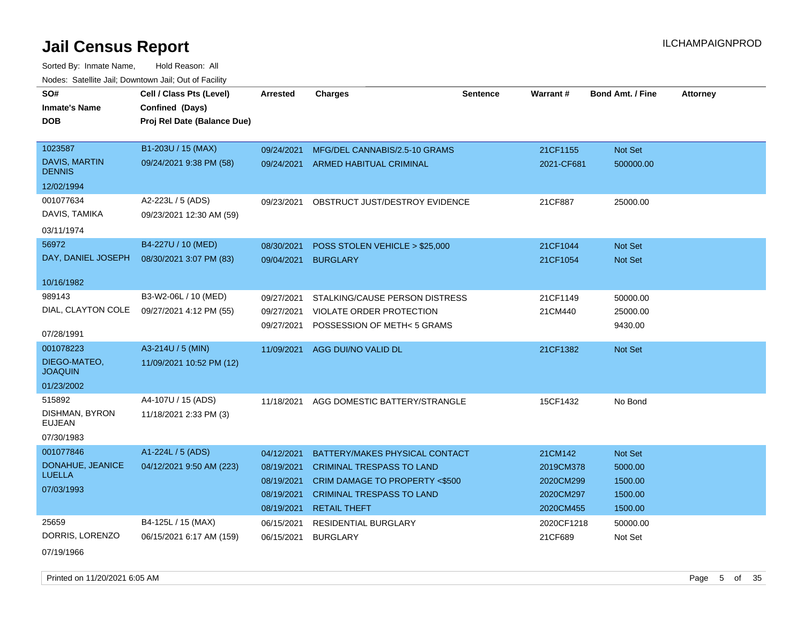| SO#                                   | Cell / Class Pts (Level)    | <b>Arrested</b> | <b>Charges</b>                           | <b>Sentence</b> | <b>Warrant#</b> | <b>Bond Amt. / Fine</b> | <b>Attorney</b> |
|---------------------------------------|-----------------------------|-----------------|------------------------------------------|-----------------|-----------------|-------------------------|-----------------|
| <b>Inmate's Name</b>                  | Confined (Days)             |                 |                                          |                 |                 |                         |                 |
| <b>DOB</b>                            | Proj Rel Date (Balance Due) |                 |                                          |                 |                 |                         |                 |
|                                       |                             |                 |                                          |                 |                 |                         |                 |
| 1023587                               | B1-203U / 15 (MAX)          | 09/24/2021      | MFG/DEL CANNABIS/2.5-10 GRAMS            |                 | 21CF1155        | Not Set                 |                 |
| <b>DAVIS, MARTIN</b><br><b>DENNIS</b> | 09/24/2021 9:38 PM (58)     | 09/24/2021      | <b>ARMED HABITUAL CRIMINAL</b>           |                 | 2021-CF681      | 500000.00               |                 |
| 12/02/1994                            |                             |                 |                                          |                 |                 |                         |                 |
| 001077634                             | A2-223L / 5 (ADS)           | 09/23/2021      | OBSTRUCT JUST/DESTROY EVIDENCE           |                 | 21CF887         | 25000.00                |                 |
| DAVIS, TAMIKA                         | 09/23/2021 12:30 AM (59)    |                 |                                          |                 |                 |                         |                 |
| 03/11/1974                            |                             |                 |                                          |                 |                 |                         |                 |
| 56972                                 | B4-227U / 10 (MED)          | 08/30/2021      | POSS STOLEN VEHICLE > \$25,000           |                 | 21CF1044        | Not Set                 |                 |
| DAY, DANIEL JOSEPH                    | 08/30/2021 3:07 PM (83)     | 09/04/2021      | <b>BURGLARY</b>                          |                 | 21CF1054        | Not Set                 |                 |
|                                       |                             |                 |                                          |                 |                 |                         |                 |
| 10/16/1982                            |                             |                 |                                          |                 |                 |                         |                 |
| 989143                                | B3-W2-06L / 10 (MED)        | 09/27/2021      | STALKING/CAUSE PERSON DISTRESS           |                 | 21CF1149        | 50000.00                |                 |
| DIAL, CLAYTON COLE                    | 09/27/2021 4:12 PM (55)     | 09/27/2021      | VIOLATE ORDER PROTECTION                 |                 | 21CM440         | 25000.00                |                 |
|                                       |                             | 09/27/2021      | POSSESSION OF METH<5 GRAMS               |                 |                 | 9430.00                 |                 |
| 07/28/1991                            |                             |                 |                                          |                 |                 |                         |                 |
| 001078223                             | A3-214U / 5 (MIN)           | 11/09/2021      | AGG DUI/NO VALID DL                      |                 | 21CF1382        | Not Set                 |                 |
| DIEGO-MATEO,<br><b>JOAQUIN</b>        | 11/09/2021 10:52 PM (12)    |                 |                                          |                 |                 |                         |                 |
| 01/23/2002                            |                             |                 |                                          |                 |                 |                         |                 |
| 515892                                | A4-107U / 15 (ADS)          | 11/18/2021      | AGG DOMESTIC BATTERY/STRANGLE            |                 | 15CF1432        | No Bond                 |                 |
| DISHMAN, BYRON<br><b>EUJEAN</b>       | 11/18/2021 2:33 PM (3)      |                 |                                          |                 |                 |                         |                 |
| 07/30/1983                            |                             |                 |                                          |                 |                 |                         |                 |
| 001077846                             | A1-224L / 5 (ADS)           | 04/12/2021      | BATTERY/MAKES PHYSICAL CONTACT           |                 | 21CM142         | Not Set                 |                 |
| DONAHUE, JEANICE                      | 04/12/2021 9:50 AM (223)    | 08/19/2021      | <b>CRIMINAL TRESPASS TO LAND</b>         |                 | 2019CM378       | 5000.00                 |                 |
| <b>LUELLA</b>                         |                             | 08/19/2021      | <b>CRIM DAMAGE TO PROPERTY &lt;\$500</b> |                 | 2020CM299       | 1500.00                 |                 |
| 07/03/1993                            |                             | 08/19/2021      | <b>CRIMINAL TRESPASS TO LAND</b>         |                 | 2020CM297       | 1500.00                 |                 |
|                                       |                             | 08/19/2021      | <b>RETAIL THEFT</b>                      |                 | 2020CM455       | 1500.00                 |                 |
| 25659                                 | B4-125L / 15 (MAX)          | 06/15/2021      | RESIDENTIAL BURGLARY                     |                 | 2020CF1218      | 50000.00                |                 |
| DORRIS, LORENZO                       | 06/15/2021 6:17 AM (159)    | 06/15/2021      | <b>BURGLARY</b>                          |                 | 21CF689         | Not Set                 |                 |
| 07/19/1966                            |                             |                 |                                          |                 |                 |                         |                 |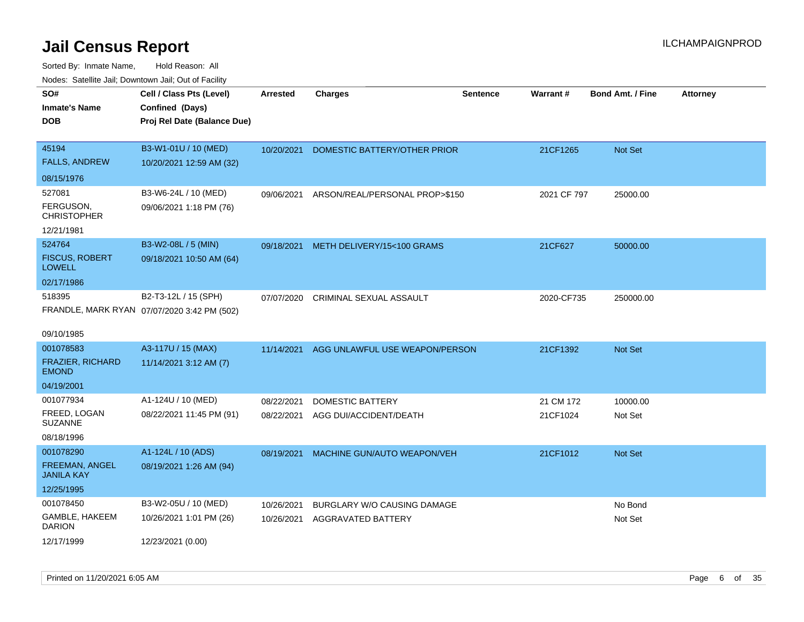| SO#<br><b>Inmate's Name</b><br><b>DOB</b>        | Cell / Class Pts (Level)<br>Confined (Days)<br>Proj Rel Date (Balance Due) | <b>Arrested</b>          | <b>Charges</b>                                    | <b>Sentence</b> | <b>Warrant#</b> | <b>Bond Amt. / Fine</b> | <b>Attorney</b> |
|--------------------------------------------------|----------------------------------------------------------------------------|--------------------------|---------------------------------------------------|-----------------|-----------------|-------------------------|-----------------|
| 45194<br><b>FALLS, ANDREW</b>                    | B3-W1-01U / 10 (MED)<br>10/20/2021 12:59 AM (32)                           | 10/20/2021               | DOMESTIC BATTERY/OTHER PRIOR                      |                 | 21CF1265        | Not Set                 |                 |
| 08/15/1976                                       |                                                                            |                          |                                                   |                 |                 |                         |                 |
| 527081<br>FERGUSON,<br><b>CHRISTOPHER</b>        | B3-W6-24L / 10 (MED)<br>09/06/2021 1:18 PM (76)                            |                          | 09/06/2021 ARSON/REAL/PERSONAL PROP>\$150         |                 | 2021 CF 797     | 25000.00                |                 |
| 12/21/1981                                       |                                                                            |                          |                                                   |                 |                 |                         |                 |
| 524764<br><b>FISCUS, ROBERT</b><br><b>LOWELL</b> | B3-W2-08L / 5 (MIN)<br>09/18/2021 10:50 AM (64)                            |                          | 09/18/2021 METH DELIVERY/15<100 GRAMS             |                 | 21CF627         | 50000.00                |                 |
| 02/17/1986                                       |                                                                            |                          |                                                   |                 |                 |                         |                 |
| 518395                                           | B2-T3-12L / 15 (SPH)<br>FRANDLE, MARK RYAN 07/07/2020 3:42 PM (502)        | 07/07/2020               | <b>CRIMINAL SEXUAL ASSAULT</b>                    |                 | 2020-CF735      | 250000.00               |                 |
| 09/10/1985                                       |                                                                            |                          |                                                   |                 |                 |                         |                 |
| 001078583                                        | A3-117U / 15 (MAX)                                                         | 11/14/2021               | AGG UNLAWFUL USE WEAPON/PERSON                    |                 | 21CF1392        | Not Set                 |                 |
| <b>FRAZIER, RICHARD</b><br><b>EMOND</b>          | 11/14/2021 3:12 AM (7)                                                     |                          |                                                   |                 |                 |                         |                 |
| 04/19/2001                                       |                                                                            |                          |                                                   |                 |                 |                         |                 |
| 001077934                                        | A1-124U / 10 (MED)                                                         | 08/22/2021               | <b>DOMESTIC BATTERY</b>                           |                 | 21 CM 172       | 10000.00                |                 |
| FREED. LOGAN<br><b>SUZANNE</b>                   | 08/22/2021 11:45 PM (91)                                                   | 08/22/2021               | AGG DUI/ACCIDENT/DEATH                            |                 | 21CF1024        | Not Set                 |                 |
| 08/18/1996                                       |                                                                            |                          |                                                   |                 |                 |                         |                 |
| 001078290<br>FREEMAN, ANGEL<br><b>JANILA KAY</b> | A1-124L / 10 (ADS)<br>08/19/2021 1:26 AM (94)                              | 08/19/2021               | MACHINE GUN/AUTO WEAPON/VEH                       |                 | 21CF1012        | Not Set                 |                 |
| 12/25/1995<br>001078450                          | B3-W2-05U / 10 (MED)                                                       |                          |                                                   |                 |                 |                         |                 |
| GAMBLE, HAKEEM<br><b>DARION</b>                  | 10/26/2021 1:01 PM (26)                                                    | 10/26/2021<br>10/26/2021 | BURGLARY W/O CAUSING DAMAGE<br>AGGRAVATED BATTERY |                 |                 | No Bond<br>Not Set      |                 |
| 12/17/1999                                       | 12/23/2021 (0.00)                                                          |                          |                                                   |                 |                 |                         |                 |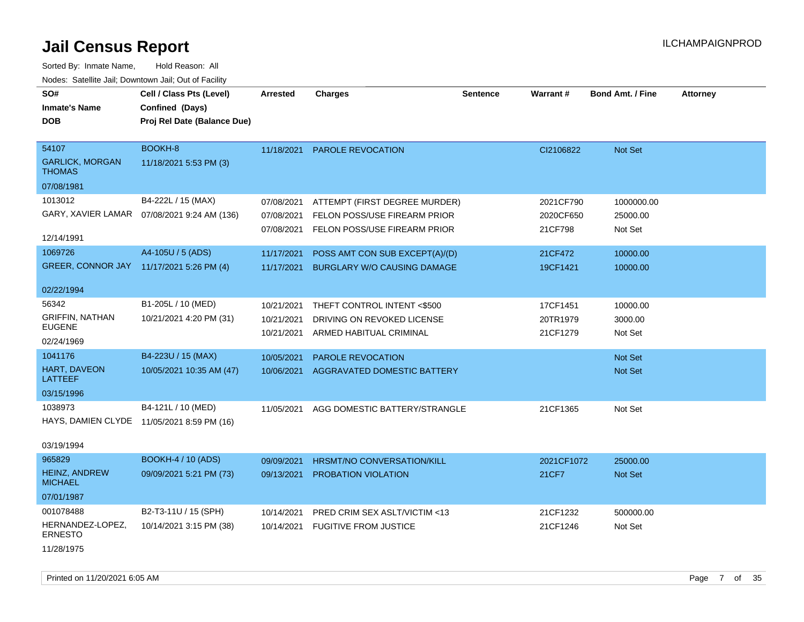| Sorted By: Inmate Name,<br>Nodes: Satellite Jail; Downtown Jail; Out of Facility | Hold Reason: All                                                           |                                        |                                                                                               |                 |                                   |                                   |                 |
|----------------------------------------------------------------------------------|----------------------------------------------------------------------------|----------------------------------------|-----------------------------------------------------------------------------------------------|-----------------|-----------------------------------|-----------------------------------|-----------------|
| SO#<br><b>Inmate's Name</b><br>DOB                                               | Cell / Class Pts (Level)<br>Confined (Days)<br>Proj Rel Date (Balance Due) | <b>Arrested</b>                        | <b>Charges</b>                                                                                | <b>Sentence</b> | <b>Warrant#</b>                   | <b>Bond Amt. / Fine</b>           | <b>Attorney</b> |
| 54107<br><b>GARLICK, MORGAN</b><br>THOMAS<br>07/08/1981                          | BOOKH-8<br>11/18/2021 5:53 PM (3)                                          | 11/18/2021                             | <b>PAROLE REVOCATION</b>                                                                      |                 | CI2106822                         | <b>Not Set</b>                    |                 |
| 1013012<br>GARY, XAVIER LAMAR<br>12/14/1991                                      | B4-222L / 15 (MAX)<br>07/08/2021 9:24 AM (136)                             | 07/08/2021<br>07/08/2021<br>07/08/2021 | ATTEMPT (FIRST DEGREE MURDER)<br>FELON POSS/USE FIREARM PRIOR<br>FELON POSS/USE FIREARM PRIOR |                 | 2021CF790<br>2020CF650<br>21CF798 | 1000000.00<br>25000.00<br>Not Set |                 |
| 1069726<br><b>GREER, CONNOR JAY</b><br>02/22/1994                                | A4-105U / 5 (ADS)<br>11/17/2021 5:26 PM (4)                                | 11/17/2021<br>11/17/2021               | POSS AMT CON SUB EXCEPT(A)/(D)<br><b>BURGLARY W/O CAUSING DAMAGE</b>                          |                 | 21CF472<br>19CF1421               | 10000.00<br>10000.00              |                 |
| 56342<br><b>GRIFFIN, NATHAN</b><br>EUGENE<br>02/24/1969                          | B1-205L / 10 (MED)<br>10/21/2021 4:20 PM (31)                              | 10/21/2021<br>10/21/2021<br>10/21/2021 | THEFT CONTROL INTENT <\$500<br>DRIVING ON REVOKED LICENSE<br>ARMED HABITUAL CRIMINAL          |                 | 17CF1451<br>20TR1979<br>21CF1279  | 10000.00<br>3000.00<br>Not Set    |                 |
| 1041176<br><b>HART, DAVEON</b><br>LATTEEF<br>03/15/1996                          | B4-223U / 15 (MAX)<br>10/05/2021 10:35 AM (47)                             | 10/05/2021<br>10/06/2021               | PAROLE REVOCATION<br>AGGRAVATED DOMESTIC BATTERY                                              |                 |                                   | <b>Not Set</b><br><b>Not Set</b>  |                 |
| 1038973<br>HAYS, DAMIEN CLYDE<br>03/19/1994                                      | B4-121L / 10 (MED)<br>11/05/2021 8:59 PM (16)                              | 11/05/2021                             | AGG DOMESTIC BATTERY/STRANGLE                                                                 |                 | 21CF1365                          | Not Set                           |                 |
| 965829<br><b>HEINZ, ANDREW</b><br>MICHAEL<br>07/01/1987                          | <b>BOOKH-4 / 10 (ADS)</b><br>09/09/2021 5:21 PM (73)                       | 09/09/2021<br>09/13/2021               | HRSMT/NO CONVERSATION/KILL<br><b>PROBATION VIOLATION</b>                                      |                 | 2021CF1072<br>21CF7               | 25000.00<br><b>Not Set</b>        |                 |
| 001078488<br>HERNANDEZ-LOPEZ,<br>ERNESTO                                         | B2-T3-11U / 15 (SPH)<br>10/14/2021 3:15 PM (38)                            | 10/14/2021<br>10/14/2021               | PRED CRIM SEX ASLT/VICTIM <13<br><b>FUGITIVE FROM JUSTICE</b>                                 |                 | 21CF1232<br>21CF1246              | 500000.00<br>Not Set              |                 |

11/28/1975

Printed on 11/20/2021 6:05 AM Page 7 of 35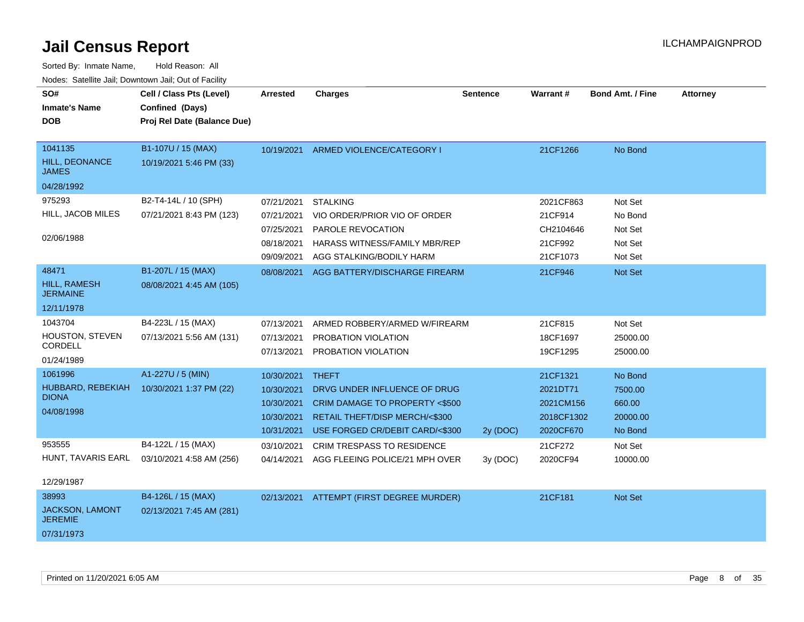| SO#<br><b>Inmate's Name</b><br><b>DOB</b>                       | Cell / Class Pts (Level)<br>Confined (Days)<br>Proj Rel Date (Balance Due) | <b>Arrested</b>                                                    | <b>Charges</b>                                                                                                                                      | <b>Sentence</b> | <b>Warrant#</b>                                              | <b>Bond Amt. / Fine</b>                             | <b>Attorney</b> |
|-----------------------------------------------------------------|----------------------------------------------------------------------------|--------------------------------------------------------------------|-----------------------------------------------------------------------------------------------------------------------------------------------------|-----------------|--------------------------------------------------------------|-----------------------------------------------------|-----------------|
| 1041135<br><b>HILL, DEONANCE</b><br><b>JAMES</b><br>04/28/1992  | B1-107U / 15 (MAX)<br>10/19/2021 5:46 PM (33)                              |                                                                    | 10/19/2021 ARMED VIOLENCE/CATEGORY I                                                                                                                |                 | 21CF1266                                                     | No Bond                                             |                 |
| 975293<br>HILL, JACOB MILES<br>02/06/1988                       | B2-T4-14L / 10 (SPH)<br>07/21/2021 8:43 PM (123)                           | 07/21/2021<br>07/21/2021<br>07/25/2021<br>08/18/2021<br>09/09/2021 | <b>STALKING</b><br>VIO ORDER/PRIOR VIO OF ORDER<br>PAROLE REVOCATION<br><b>HARASS WITNESS/FAMILY MBR/REP</b><br>AGG STALKING/BODILY HARM            |                 | 2021CF863<br>21CF914<br>CH2104646<br>21CF992<br>21CF1073     | Not Set<br>No Bond<br>Not Set<br>Not Set<br>Not Set |                 |
| 48471<br><b>HILL, RAMESH</b><br><b>JERMAINE</b><br>12/11/1978   | B1-207L / 15 (MAX)<br>08/08/2021 4:45 AM (105)                             | 08/08/2021                                                         | AGG BATTERY/DISCHARGE FIREARM                                                                                                                       |                 | 21CF946                                                      | Not Set                                             |                 |
| 1043704<br>HOUSTON, STEVEN<br>CORDELL<br>01/24/1989             | B4-223L / 15 (MAX)<br>07/13/2021 5:56 AM (131)                             | 07/13/2021<br>07/13/2021<br>07/13/2021                             | ARMED ROBBERY/ARMED W/FIREARM<br>PROBATION VIOLATION<br>PROBATION VIOLATION                                                                         |                 | 21CF815<br>18CF1697<br>19CF1295                              | Not Set<br>25000.00<br>25000.00                     |                 |
| 1061996<br>HUBBARD, REBEKIAH<br><b>DIONA</b><br>04/08/1998      | A1-227U / 5 (MIN)<br>10/30/2021 1:37 PM (22)                               | 10/30/2021<br>10/30/2021<br>10/30/2021<br>10/30/2021<br>10/31/2021 | <b>THEFT</b><br>DRVG UNDER INFLUENCE OF DRUG<br>CRIM DAMAGE TO PROPERTY <\$500<br>RETAIL THEFT/DISP MERCH/<\$300<br>USE FORGED CR/DEBIT CARD/<\$300 | 2y (DOC)        | 21CF1321<br>2021DT71<br>2021CM156<br>2018CF1302<br>2020CF670 | No Bond<br>7500.00<br>660.00<br>20000.00<br>No Bond |                 |
| 953555<br>HUNT, TAVARIS EARL<br>12/29/1987                      | B4-122L / 15 (MAX)<br>03/10/2021 4:58 AM (256)                             | 03/10/2021<br>04/14/2021                                           | <b>CRIM TRESPASS TO RESIDENCE</b><br>AGG FLEEING POLICE/21 MPH OVER                                                                                 | 3y (DOC)        | 21CF272<br>2020CF94                                          | Not Set<br>10000.00                                 |                 |
| 38993<br><b>JACKSON, LAMONT</b><br><b>JEREMIE</b><br>07/31/1973 | B4-126L / 15 (MAX)<br>02/13/2021 7:45 AM (281)                             |                                                                    | 02/13/2021 ATTEMPT (FIRST DEGREE MURDER)                                                                                                            |                 | 21CF181                                                      | Not Set                                             |                 |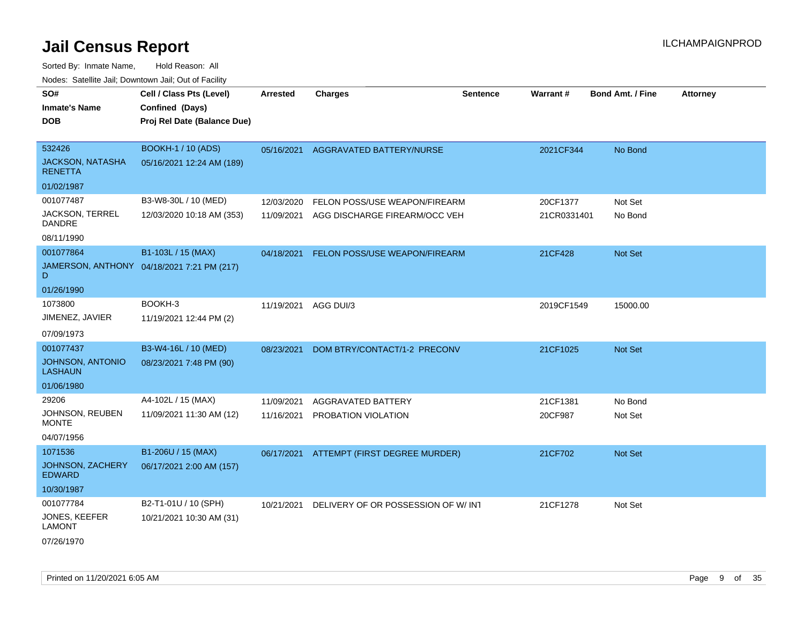| Todoo. Catolino can, Bowritown can, Oat or I domt |                                            |                 |                                    |                 |             |                         |                 |
|---------------------------------------------------|--------------------------------------------|-----------------|------------------------------------|-----------------|-------------|-------------------------|-----------------|
| SO#                                               | Cell / Class Pts (Level)                   | <b>Arrested</b> | <b>Charges</b>                     | <b>Sentence</b> | Warrant#    | <b>Bond Amt. / Fine</b> | <b>Attorney</b> |
| <b>Inmate's Name</b>                              | Confined (Days)                            |                 |                                    |                 |             |                         |                 |
| <b>DOB</b>                                        | Proj Rel Date (Balance Due)                |                 |                                    |                 |             |                         |                 |
|                                                   |                                            |                 |                                    |                 |             |                         |                 |
| 532426                                            | <b>BOOKH-1 / 10 (ADS)</b>                  | 05/16/2021      | AGGRAVATED BATTERY/NURSE           |                 | 2021CF344   | No Bond                 |                 |
| <b>JACKSON, NATASHA</b><br><b>RENETTA</b>         | 05/16/2021 12:24 AM (189)                  |                 |                                    |                 |             |                         |                 |
| 01/02/1987                                        |                                            |                 |                                    |                 |             |                         |                 |
| 001077487                                         | B3-W8-30L / 10 (MED)                       | 12/03/2020      | FELON POSS/USE WEAPON/FIREARM      |                 | 20CF1377    | Not Set                 |                 |
| JACKSON, TERREL<br><b>DANDRE</b>                  | 12/03/2020 10:18 AM (353)                  | 11/09/2021      | AGG DISCHARGE FIREARM/OCC VEH      |                 | 21CR0331401 | No Bond                 |                 |
| 08/11/1990                                        |                                            |                 |                                    |                 |             |                         |                 |
| 001077864                                         | B1-103L / 15 (MAX)                         | 04/18/2021      | FELON POSS/USE WEAPON/FIREARM      |                 | 21CF428     | Not Set                 |                 |
| D                                                 | JAMERSON, ANTHONY 04/18/2021 7:21 PM (217) |                 |                                    |                 |             |                         |                 |
| 01/26/1990                                        |                                            |                 |                                    |                 |             |                         |                 |
| 1073800                                           | BOOKH-3                                    | 11/19/2021      | AGG DUI/3                          |                 | 2019CF1549  | 15000.00                |                 |
| JIMENEZ, JAVIER                                   | 11/19/2021 12:44 PM (2)                    |                 |                                    |                 |             |                         |                 |
| 07/09/1973                                        |                                            |                 |                                    |                 |             |                         |                 |
| 001077437                                         | B3-W4-16L / 10 (MED)                       | 08/23/2021      | DOM BTRY/CONTACT/1-2 PRECONV       |                 | 21CF1025    | Not Set                 |                 |
| <b>JOHNSON, ANTONIO</b><br><b>LASHAUN</b>         | 08/23/2021 7:48 PM (90)                    |                 |                                    |                 |             |                         |                 |
| 01/06/1980                                        |                                            |                 |                                    |                 |             |                         |                 |
| 29206                                             | A4-102L / 15 (MAX)                         | 11/09/2021      | AGGRAVATED BATTERY                 |                 | 21CF1381    | No Bond                 |                 |
| JOHNSON, REUBEN<br><b>MONTE</b>                   | 11/09/2021 11:30 AM (12)                   | 11/16/2021      | PROBATION VIOLATION                |                 | 20CF987     | Not Set                 |                 |
| 04/07/1956                                        |                                            |                 |                                    |                 |             |                         |                 |
| 1071536                                           | B1-206U / 15 (MAX)                         | 06/17/2021      | ATTEMPT (FIRST DEGREE MURDER)      |                 | 21CF702     | Not Set                 |                 |
| JOHNSON, ZACHERY<br><b>EDWARD</b>                 | 06/17/2021 2:00 AM (157)                   |                 |                                    |                 |             |                         |                 |
| 10/30/1987                                        |                                            |                 |                                    |                 |             |                         |                 |
| 001077784                                         | B2-T1-01U / 10 (SPH)                       | 10/21/2021      | DELIVERY OF OR POSSESSION OF W/INT |                 | 21CF1278    | Not Set                 |                 |
| <b>JONES, KEEFER</b><br><b>LAMONT</b>             | 10/21/2021 10:30 AM (31)                   |                 |                                    |                 |             |                         |                 |
| 07/26/1970                                        |                                            |                 |                                    |                 |             |                         |                 |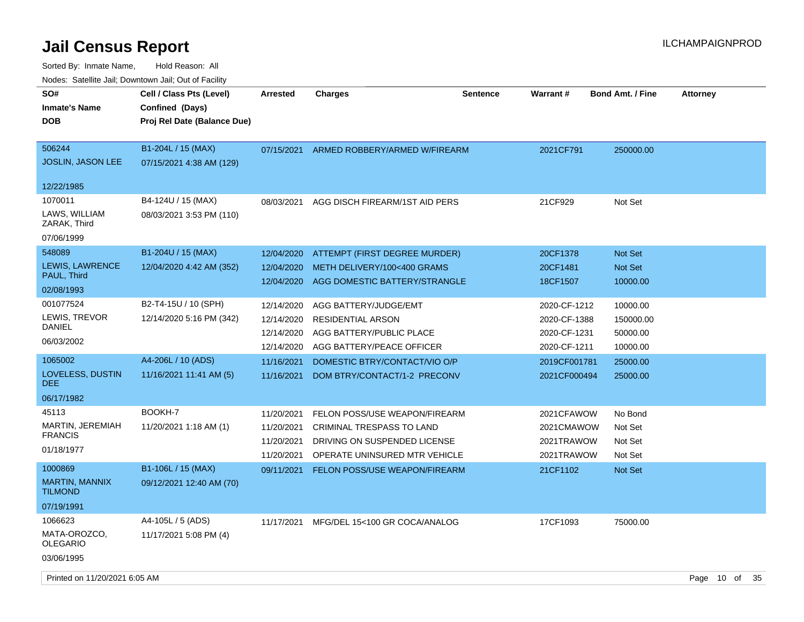| SO#<br><b>Inmate's Name</b><br>DOB | Cell / Class Pts (Level)<br>Confined (Days)<br>Proj Rel Date (Balance Due) | Arrested                 | <b>Charges</b>                                                | <b>Sentence</b> | Warrant#                     | <b>Bond Amt. / Fine</b> | <b>Attorney</b> |  |
|------------------------------------|----------------------------------------------------------------------------|--------------------------|---------------------------------------------------------------|-----------------|------------------------------|-------------------------|-----------------|--|
| 506244<br><b>JOSLIN, JASON LEE</b> | B1-204L / 15 (MAX)<br>07/15/2021 4:38 AM (129)                             | 07/15/2021               | ARMED ROBBERY/ARMED W/FIREARM                                 |                 | 2021CF791                    | 250000.00               |                 |  |
| 12/22/1985                         |                                                                            |                          |                                                               |                 |                              |                         |                 |  |
| 1070011                            | B4-124U / 15 (MAX)                                                         | 08/03/2021               | AGG DISCH FIREARM/1ST AID PERS                                |                 | 21CF929                      | Not Set                 |                 |  |
| LAWS, WILLIAM<br>ZARAK, Third      | 08/03/2021 3:53 PM (110)                                                   |                          |                                                               |                 |                              |                         |                 |  |
| 07/06/1999                         |                                                                            |                          |                                                               |                 |                              |                         |                 |  |
| 548089                             | B1-204U / 15 (MAX)                                                         | 12/04/2020               | ATTEMPT (FIRST DEGREE MURDER)                                 |                 | 20CF1378                     | <b>Not Set</b>          |                 |  |
| <b>LEWIS, LAWRENCE</b>             | 12/04/2020 4:42 AM (352)                                                   | 12/04/2020               | METH DELIVERY/100<400 GRAMS                                   |                 | 20CF1481                     | <b>Not Set</b>          |                 |  |
| PAUL, Third<br>02/08/1993          |                                                                            | 12/04/2020               | AGG DOMESTIC BATTERY/STRANGLE                                 |                 | 18CF1507                     | 10000.00                |                 |  |
| 001077524                          | B2-T4-15U / 10 (SPH)                                                       | 12/14/2020               | AGG BATTERY/JUDGE/EMT                                         |                 | 2020-CF-1212                 | 10000.00                |                 |  |
| LEWIS, TREVOR<br>DANIEL            | 12/14/2020 5:16 PM (342)                                                   | 12/14/2020               | <b>RESIDENTIAL ARSON</b>                                      |                 | 2020-CF-1388                 | 150000.00               |                 |  |
| 06/03/2002                         |                                                                            | 12/14/2020<br>12/14/2020 | AGG BATTERY/PUBLIC PLACE<br>AGG BATTERY/PEACE OFFICER         |                 | 2020-CF-1231<br>2020-CF-1211 | 50000.00<br>10000.00    |                 |  |
| 1065002                            | A4-206L / 10 (ADS)                                                         | 11/16/2021               | DOMESTIC BTRY/CONTACT/VIO O/P                                 |                 | 2019CF001781                 | 25000.00                |                 |  |
| LOVELESS, DUSTIN<br>DEE.           | 11/16/2021 11:41 AM (5)                                                    | 11/16/2021               | DOM BTRY/CONTACT/1-2 PRECONV                                  |                 | 2021CF000494                 | 25000.00                |                 |  |
| 06/17/1982                         |                                                                            |                          |                                                               |                 |                              |                         |                 |  |
| 45113                              | BOOKH-7                                                                    | 11/20/2021               | FELON POSS/USE WEAPON/FIREARM                                 |                 | 2021CFAWOW                   | No Bond                 |                 |  |
| MARTIN, JEREMIAH<br><b>FRANCIS</b> | 11/20/2021 1:18 AM (1)                                                     | 11/20/2021               | <b>CRIMINAL TRESPASS TO LAND</b>                              |                 | 2021CMAWOW                   | Not Set                 |                 |  |
| 01/18/1977                         |                                                                            | 11/20/2021<br>11/20/2021 | DRIVING ON SUSPENDED LICENSE<br>OPERATE UNINSURED MTR VEHICLE |                 | 2021TRAWOW<br>2021TRAWOW     | Not Set<br>Not Set      |                 |  |
| 1000869                            | B1-106L / 15 (MAX)                                                         | 09/11/2021               | FELON POSS/USE WEAPON/FIREARM                                 |                 | 21CF1102                     | Not Set                 |                 |  |
| <b>MARTIN, MANNIX</b><br>TILMOND   | 09/12/2021 12:40 AM (70)                                                   |                          |                                                               |                 |                              |                         |                 |  |
| 07/19/1991                         |                                                                            |                          |                                                               |                 |                              |                         |                 |  |
| 1066623                            | A4-105L / 5 (ADS)                                                          | 11/17/2021               | MFG/DEL 15<100 GR COCA/ANALOG                                 |                 | 17CF1093                     | 75000.00                |                 |  |
| MATA-OROZCO,<br>OLEGARIO           | 11/17/2021 5:08 PM (4)                                                     |                          |                                                               |                 |                              |                         |                 |  |
| 03/06/1995                         |                                                                            |                          |                                                               |                 |                              |                         |                 |  |
| Printed on 11/20/2021 6:05 AM      |                                                                            |                          |                                                               |                 |                              |                         | Page 10 of 35   |  |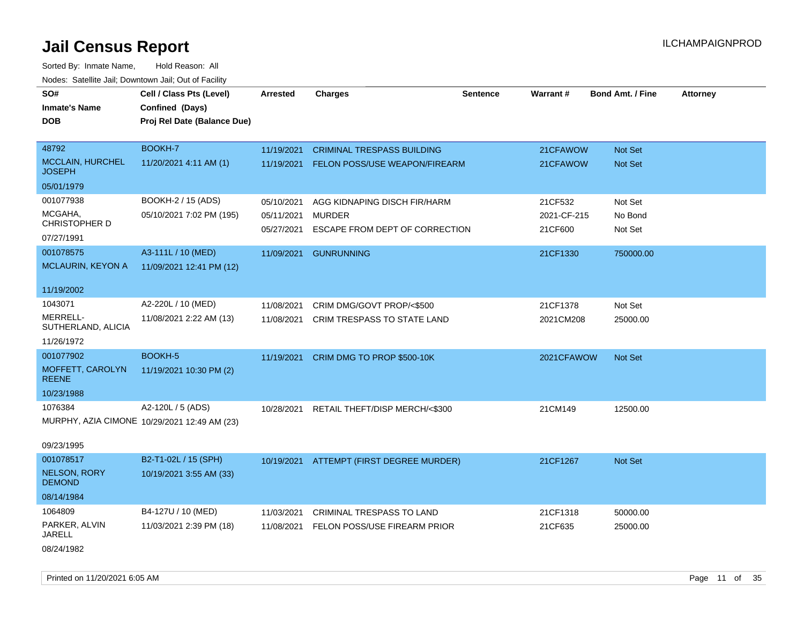| SO#<br><b>Inmate's Name</b><br><b>DOB</b> | Cell / Class Pts (Level)<br>Confined (Days)<br>Proj Rel Date (Balance Due) | <b>Arrested</b>          | <b>Charges</b>                                  | <b>Sentence</b> | Warrant#               | <b>Bond Amt. / Fine</b> | <b>Attorney</b> |
|-------------------------------------------|----------------------------------------------------------------------------|--------------------------|-------------------------------------------------|-----------------|------------------------|-------------------------|-----------------|
|                                           |                                                                            |                          |                                                 |                 |                        |                         |                 |
| 48792                                     | BOOKH-7                                                                    | 11/19/2021               | <b>CRIMINAL TRESPASS BUILDING</b>               |                 | 21CFAWOW               | Not Set                 |                 |
| <b>MCCLAIN, HURCHEL</b><br><b>JOSEPH</b>  | 11/20/2021 4:11 AM (1)                                                     | 11/19/2021               | <b>FELON POSS/USE WEAPON/FIREARM</b>            |                 | 21CFAWOW               | Not Set                 |                 |
| 05/01/1979                                |                                                                            |                          |                                                 |                 |                        |                         |                 |
| 001077938                                 | BOOKH-2 / 15 (ADS)                                                         | 05/10/2021               | AGG KIDNAPING DISCH FIR/HARM                    |                 | 21CF532                | Not Set                 |                 |
| MCGAHA,<br>CHRISTOPHER D                  | 05/10/2021 7:02 PM (195)                                                   | 05/11/2021<br>05/27/2021 | <b>MURDER</b><br>ESCAPE FROM DEPT OF CORRECTION |                 | 2021-CF-215<br>21CF600 | No Bond<br>Not Set      |                 |
| 07/27/1991                                |                                                                            |                          |                                                 |                 |                        |                         |                 |
| 001078575                                 | A3-111L / 10 (MED)                                                         | 11/09/2021               | <b>GUNRUNNING</b>                               |                 | 21CF1330               | 750000.00               |                 |
| MCLAURIN, KEYON A                         | 11/09/2021 12:41 PM (12)                                                   |                          |                                                 |                 |                        |                         |                 |
| 11/19/2002                                |                                                                            |                          |                                                 |                 |                        |                         |                 |
| 1043071                                   | A2-220L / 10 (MED)                                                         | 11/08/2021               | CRIM DMG/GOVT PROP/<\$500                       |                 | 21CF1378               | Not Set                 |                 |
| MERRELL-<br>SUTHERLAND, ALICIA            | 11/08/2021 2:22 AM (13)                                                    | 11/08/2021               | CRIM TRESPASS TO STATE LAND                     |                 | 2021CM208              | 25000.00                |                 |
| 11/26/1972                                |                                                                            |                          |                                                 |                 |                        |                         |                 |
| 001077902                                 | <b>BOOKH-5</b>                                                             | 11/19/2021               | CRIM DMG TO PROP \$500-10K                      |                 | 2021CFAWOW             | Not Set                 |                 |
| MOFFETT, CAROLYN<br><b>REENE</b>          | 11/19/2021 10:30 PM (2)                                                    |                          |                                                 |                 |                        |                         |                 |
| 10/23/1988                                |                                                                            |                          |                                                 |                 |                        |                         |                 |
| 1076384                                   | A2-120L / 5 (ADS)                                                          | 10/28/2021               | RETAIL THEFT/DISP MERCH/<\$300                  |                 | 21CM149                | 12500.00                |                 |
|                                           | MURPHY, AZIA CIMONE 10/29/2021 12:49 AM (23)                               |                          |                                                 |                 |                        |                         |                 |
| 09/23/1995                                |                                                                            |                          |                                                 |                 |                        |                         |                 |
| 001078517                                 | B2-T1-02L / 15 (SPH)                                                       | 10/19/2021               | ATTEMPT (FIRST DEGREE MURDER)                   |                 | 21CF1267               | Not Set                 |                 |
| <b>NELSON, RORY</b><br><b>DEMOND</b>      | 10/19/2021 3:55 AM (33)                                                    |                          |                                                 |                 |                        |                         |                 |
| 08/14/1984                                |                                                                            |                          |                                                 |                 |                        |                         |                 |
| 1064809                                   | B4-127U / 10 (MED)                                                         | 11/03/2021               | CRIMINAL TRESPASS TO LAND                       |                 | 21CF1318               | 50000.00                |                 |
| PARKER, ALVIN<br><b>JARELL</b>            | 11/03/2021 2:39 PM (18)                                                    | 11/08/2021               | FELON POSS/USE FIREARM PRIOR                    |                 | 21CF635                | 25000.00                |                 |
| 08/24/1982                                |                                                                            |                          |                                                 |                 |                        |                         |                 |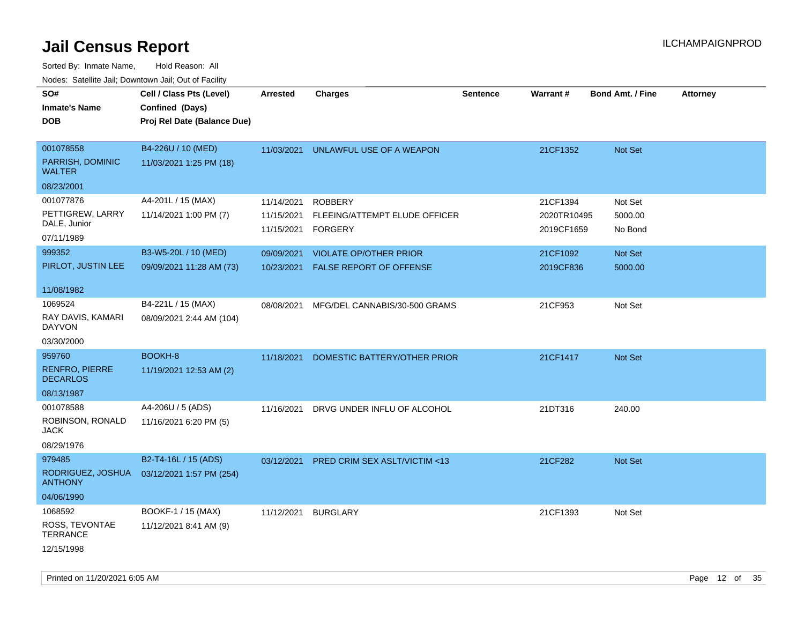Sorted By: Inmate Name, Hold Reason: All Nodes: Satellite Jail; Downtown Jail; Out of Facility

| SO#<br><b>Inmate's Name</b><br><b>DOB</b>                        | Cell / Class Pts (Level)<br>Confined (Days)<br>Proj Rel Date (Balance Due) | Arrested                               | <b>Charges</b>                                                  | <b>Sentence</b> | Warrant#                              | <b>Bond Amt. / Fine</b>       | <b>Attorney</b> |
|------------------------------------------------------------------|----------------------------------------------------------------------------|----------------------------------------|-----------------------------------------------------------------|-----------------|---------------------------------------|-------------------------------|-----------------|
| 001078558<br>PARRISH, DOMINIC<br><b>WALTER</b>                   | B4-226U / 10 (MED)<br>11/03/2021 1:25 PM (18)                              | 11/03/2021                             | UNLAWFUL USE OF A WEAPON                                        |                 | 21CF1352                              | Not Set                       |                 |
| 08/23/2001                                                       |                                                                            |                                        |                                                                 |                 |                                       |                               |                 |
| 001077876<br>PETTIGREW, LARRY<br>DALE, Junior<br>07/11/1989      | A4-201L / 15 (MAX)<br>11/14/2021 1:00 PM (7)                               | 11/14/2021<br>11/15/2021<br>11/15/2021 | <b>ROBBERY</b><br>FLEEING/ATTEMPT ELUDE OFFICER<br>FORGERY      |                 | 21CF1394<br>2020TR10495<br>2019CF1659 | Not Set<br>5000.00<br>No Bond |                 |
| 999352<br>PIRLOT, JUSTIN LEE                                     | B3-W5-20L / 10 (MED)<br>09/09/2021 11:28 AM (73)                           | 09/09/2021<br>10/23/2021               | <b>VIOLATE OP/OTHER PRIOR</b><br><b>FALSE REPORT OF OFFENSE</b> |                 | 21CF1092<br>2019CF836                 | Not Set<br>5000.00            |                 |
| 11/08/1982                                                       |                                                                            |                                        |                                                                 |                 |                                       |                               |                 |
| 1069524<br>RAY DAVIS, KAMARI<br><b>DAYVON</b>                    | B4-221L / 15 (MAX)<br>08/09/2021 2:44 AM (104)                             | 08/08/2021                             | MFG/DEL CANNABIS/30-500 GRAMS                                   |                 | 21CF953                               | Not Set                       |                 |
| 03/30/2000                                                       |                                                                            |                                        |                                                                 |                 |                                       |                               |                 |
| 959760<br><b>RENFRO, PIERRE</b><br><b>DECARLOS</b><br>08/13/1987 | BOOKH-8<br>11/19/2021 12:53 AM (2)                                         | 11/18/2021                             | DOMESTIC BATTERY/OTHER PRIOR                                    |                 | 21CF1417                              | Not Set                       |                 |
| 001078588<br>ROBINSON, RONALD<br><b>JACK</b><br>08/29/1976       | A4-206U / 5 (ADS)<br>11/16/2021 6:20 PM (5)                                | 11/16/2021                             | DRVG UNDER INFLU OF ALCOHOL                                     |                 | 21DT316                               | 240.00                        |                 |
| 979485<br>RODRIGUEZ, JOSHUA<br><b>ANTHONY</b><br>04/06/1990      | B2-T4-16L / 15 (ADS)<br>03/12/2021 1:57 PM (254)                           | 03/12/2021                             | PRED CRIM SEX ASLT/VICTIM <13                                   |                 | 21CF282                               | Not Set                       |                 |
| 1068592<br>ROSS, TEVONTAE<br>TERRANCE<br>12/15/1998              | BOOKF-1 / 15 (MAX)<br>11/12/2021 8:41 AM (9)                               | 11/12/2021                             | <b>BURGLARY</b>                                                 |                 | 21CF1393                              | Not Set                       |                 |

Printed on 11/20/2021 6:05 AM **Page 12** of 35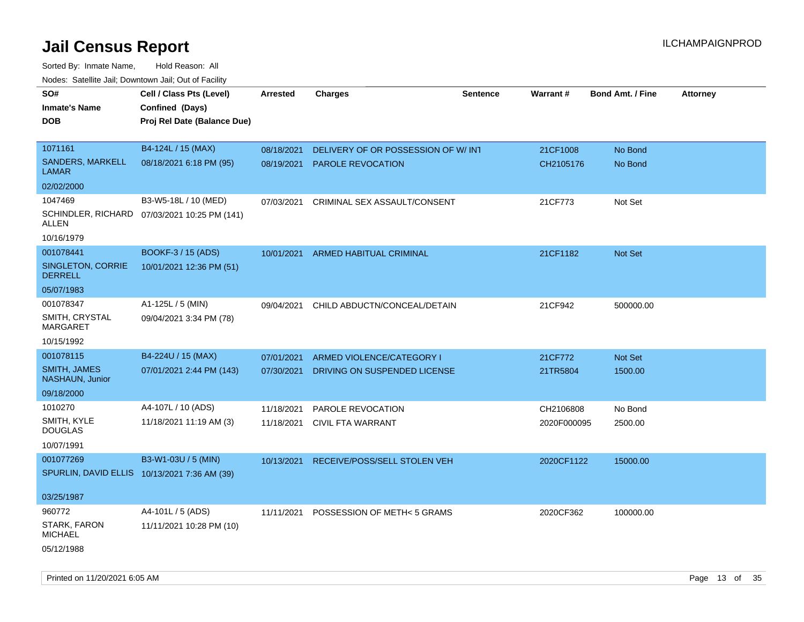Sorted By: Inmate Name, Hold Reason: All Nodes: Satellite Jail; Downtown Jail; Out of Facility

| SO#<br><b>Inmate's Name</b><br><b>DOB</b>    | Cell / Class Pts (Level)<br>Confined (Days)<br>Proj Rel Date (Balance Due) | <b>Arrested</b> | <b>Charges</b>                      | <b>Sentence</b> | Warrant#    | <b>Bond Amt. / Fine</b> | <b>Attorney</b> |
|----------------------------------------------|----------------------------------------------------------------------------|-----------------|-------------------------------------|-----------------|-------------|-------------------------|-----------------|
| 1071161                                      | B4-124L / 15 (MAX)                                                         | 08/18/2021      | DELIVERY OF OR POSSESSION OF W/ INT |                 | 21CF1008    | No Bond                 |                 |
| <b>SANDERS, MARKELL</b><br>LAMAR             | 08/18/2021 6:18 PM (95)                                                    | 08/19/2021      | <b>PAROLE REVOCATION</b>            |                 | CH2105176   | No Bond                 |                 |
| 02/02/2000                                   |                                                                            |                 |                                     |                 |             |                         |                 |
| 1047469                                      | B3-W5-18L / 10 (MED)                                                       | 07/03/2021      | CRIMINAL SEX ASSAULT/CONSENT        |                 | 21CF773     | Not Set                 |                 |
| ALLEN                                        | SCHINDLER, RICHARD 07/03/2021 10:25 PM (141)                               |                 |                                     |                 |             |                         |                 |
| 10/16/1979                                   |                                                                            |                 |                                     |                 |             |                         |                 |
| 001078441                                    | BOOKF-3 / 15 (ADS)                                                         | 10/01/2021      | ARMED HABITUAL CRIMINAL             |                 | 21CF1182    | Not Set                 |                 |
| SINGLETON, CORRIE<br><b>DERRELL</b>          | 10/01/2021 12:36 PM (51)                                                   |                 |                                     |                 |             |                         |                 |
| 05/07/1983                                   |                                                                            |                 |                                     |                 |             |                         |                 |
| 001078347                                    | A1-125L / 5 (MIN)                                                          | 09/04/2021      | CHILD ABDUCTN/CONCEAL/DETAIN        |                 | 21CF942     | 500000.00               |                 |
| SMITH, CRYSTAL<br>MARGARET                   | 09/04/2021 3:34 PM (78)                                                    |                 |                                     |                 |             |                         |                 |
| 10/15/1992                                   |                                                                            |                 |                                     |                 |             |                         |                 |
| 001078115                                    | B4-224U / 15 (MAX)                                                         | 07/01/2021      | ARMED VIOLENCE/CATEGORY I           |                 | 21CF772     | <b>Not Set</b>          |                 |
| SMITH, JAMES<br>NASHAUN, Junior              | 07/01/2021 2:44 PM (143)                                                   | 07/30/2021      | DRIVING ON SUSPENDED LICENSE        |                 | 21TR5804    | 1500.00                 |                 |
| 09/18/2000                                   |                                                                            |                 |                                     |                 |             |                         |                 |
| 1010270                                      | A4-107L / 10 (ADS)                                                         | 11/18/2021      | PAROLE REVOCATION                   |                 | CH2106808   | No Bond                 |                 |
| SMITH, KYLE<br><b>DOUGLAS</b>                | 11/18/2021 11:19 AM (3)                                                    | 11/18/2021      | <b>CIVIL FTA WARRANT</b>            |                 | 2020F000095 | 2500.00                 |                 |
| 10/07/1991                                   |                                                                            |                 |                                     |                 |             |                         |                 |
| 001077269                                    | B3-W1-03U / 5 (MIN)                                                        | 10/13/2021      | RECEIVE/POSS/SELL STOLEN VEH        |                 | 2020CF1122  | 15000.00                |                 |
| SPURLIN, DAVID ELLIS 10/13/2021 7:36 AM (39) |                                                                            |                 |                                     |                 |             |                         |                 |
| 03/25/1987                                   |                                                                            |                 |                                     |                 |             |                         |                 |
| 960772                                       | A4-101L / 5 (ADS)                                                          | 11/11/2021      | POSSESSION OF METH< 5 GRAMS         |                 | 2020CF362   | 100000.00               |                 |
| STARK, FARON<br><b>MICHAEL</b>               | 11/11/2021 10:28 PM (10)                                                   |                 |                                     |                 |             |                         |                 |
| 05/12/1988                                   |                                                                            |                 |                                     |                 |             |                         |                 |

Printed on 11/20/2021 6:05 AM **Page 13** of 35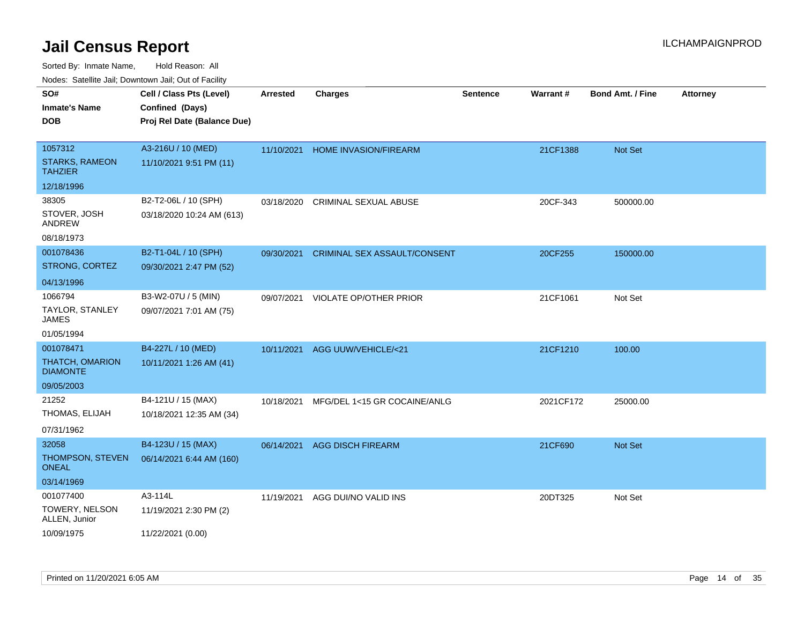| Todoo. Catolino can, Bottittottii can, Odt on Taoliit,<br>SO# | Cell / Class Pts (Level)    | <b>Arrested</b> | <b>Charges</b>                      | <b>Sentence</b> | Warrant#  | <b>Bond Amt. / Fine</b> | <b>Attorney</b> |
|---------------------------------------------------------------|-----------------------------|-----------------|-------------------------------------|-----------------|-----------|-------------------------|-----------------|
| <b>Inmate's Name</b>                                          | Confined (Days)             |                 |                                     |                 |           |                         |                 |
| <b>DOB</b>                                                    | Proj Rel Date (Balance Due) |                 |                                     |                 |           |                         |                 |
|                                                               |                             |                 |                                     |                 |           |                         |                 |
| 1057312                                                       | A3-216U / 10 (MED)          | 11/10/2021      | HOME INVASION/FIREARM               |                 | 21CF1388  | Not Set                 |                 |
| <b>STARKS, RAMEON</b><br><b>TAHZIER</b>                       | 11/10/2021 9:51 PM (11)     |                 |                                     |                 |           |                         |                 |
| 12/18/1996                                                    |                             |                 |                                     |                 |           |                         |                 |
| 38305                                                         | B2-T2-06L / 10 (SPH)        | 03/18/2020      | <b>CRIMINAL SEXUAL ABUSE</b>        |                 | 20CF-343  | 500000.00               |                 |
| STOVER, JOSH<br>ANDREW                                        | 03/18/2020 10:24 AM (613)   |                 |                                     |                 |           |                         |                 |
| 08/18/1973                                                    |                             |                 |                                     |                 |           |                         |                 |
| 001078436                                                     | B2-T1-04L / 10 (SPH)        | 09/30/2021      | <b>CRIMINAL SEX ASSAULT/CONSENT</b> |                 | 20CF255   | 150000.00               |                 |
| STRONG, CORTEZ                                                | 09/30/2021 2:47 PM (52)     |                 |                                     |                 |           |                         |                 |
| 04/13/1996                                                    |                             |                 |                                     |                 |           |                         |                 |
| 1066794                                                       | B3-W2-07U / 5 (MIN)         | 09/07/2021      | VIOLATE OP/OTHER PRIOR              |                 | 21CF1061  | Not Set                 |                 |
| TAYLOR, STANLEY<br><b>JAMES</b>                               | 09/07/2021 7:01 AM (75)     |                 |                                     |                 |           |                         |                 |
| 01/05/1994                                                    |                             |                 |                                     |                 |           |                         |                 |
| 001078471                                                     | B4-227L / 10 (MED)          | 10/11/2021      | AGG UUW/VEHICLE/<21                 |                 | 21CF1210  | 100.00                  |                 |
| THATCH, OMARION<br><b>DIAMONTE</b>                            | 10/11/2021 1:26 AM (41)     |                 |                                     |                 |           |                         |                 |
| 09/05/2003                                                    |                             |                 |                                     |                 |           |                         |                 |
| 21252                                                         | B4-121U / 15 (MAX)          | 10/18/2021      | MFG/DEL 1<15 GR COCAINE/ANLG        |                 | 2021CF172 | 25000.00                |                 |
| THOMAS, ELIJAH                                                | 10/18/2021 12:35 AM (34)    |                 |                                     |                 |           |                         |                 |
| 07/31/1962                                                    |                             |                 |                                     |                 |           |                         |                 |
| 32058                                                         | B4-123U / 15 (MAX)          | 06/14/2021      | <b>AGG DISCH FIREARM</b>            |                 | 21CF690   | Not Set                 |                 |
| THOMPSON, STEVEN<br><b>ONEAL</b>                              | 06/14/2021 6:44 AM (160)    |                 |                                     |                 |           |                         |                 |
| 03/14/1969                                                    |                             |                 |                                     |                 |           |                         |                 |
| 001077400                                                     | A3-114L                     | 11/19/2021      | AGG DUI/NO VALID INS                |                 | 20DT325   | Not Set                 |                 |
| TOWERY, NELSON<br>ALLEN, Junior                               | 11/19/2021 2:30 PM (2)      |                 |                                     |                 |           |                         |                 |
| 10/09/1975                                                    | 11/22/2021 (0.00)           |                 |                                     |                 |           |                         |                 |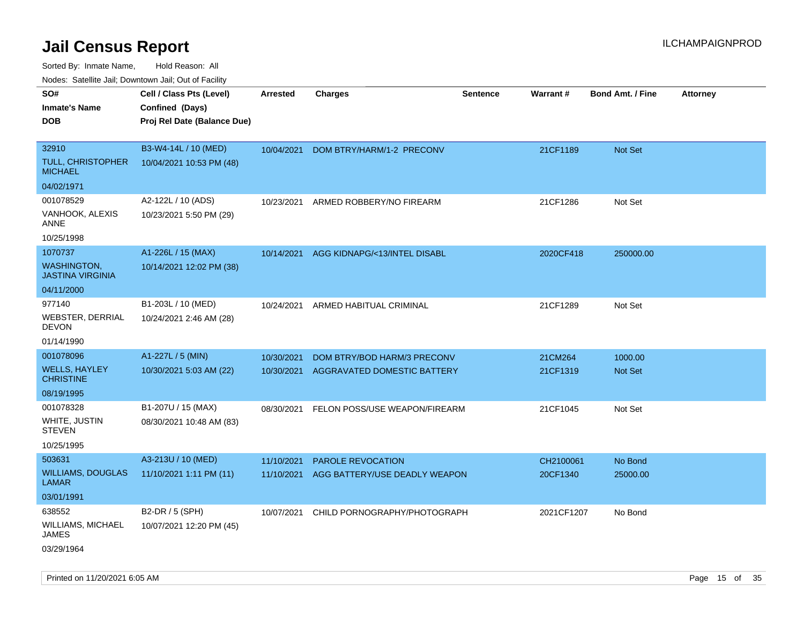Sorted By: Inmate Name, Hold Reason: All

| Nodes: Satellite Jail; Downtown Jail; Out of Facility |                             |                 |                               |                 |            |                         |                 |  |  |
|-------------------------------------------------------|-----------------------------|-----------------|-------------------------------|-----------------|------------|-------------------------|-----------------|--|--|
| SO#                                                   | Cell / Class Pts (Level)    | <b>Arrested</b> | <b>Charges</b>                | <b>Sentence</b> | Warrant#   | <b>Bond Amt. / Fine</b> | <b>Attorney</b> |  |  |
| <b>Inmate's Name</b>                                  | Confined (Days)             |                 |                               |                 |            |                         |                 |  |  |
| <b>DOB</b>                                            | Proj Rel Date (Balance Due) |                 |                               |                 |            |                         |                 |  |  |
|                                                       |                             |                 |                               |                 |            |                         |                 |  |  |
| 32910                                                 | B3-W4-14L / 10 (MED)        | 10/04/2021      | DOM BTRY/HARM/1-2 PRECONV     |                 | 21CF1189   | <b>Not Set</b>          |                 |  |  |
| <b>TULL, CHRISTOPHER</b><br><b>MICHAEL</b>            | 10/04/2021 10:53 PM (48)    |                 |                               |                 |            |                         |                 |  |  |
| 04/02/1971                                            |                             |                 |                               |                 |            |                         |                 |  |  |
| 001078529                                             | A2-122L / 10 (ADS)          | 10/23/2021      | ARMED ROBBERY/NO FIREARM      |                 | 21CF1286   | Not Set                 |                 |  |  |
| VANHOOK, ALEXIS<br><b>ANNE</b>                        | 10/23/2021 5:50 PM (29)     |                 |                               |                 |            |                         |                 |  |  |
| 10/25/1998                                            |                             |                 |                               |                 |            |                         |                 |  |  |
| 1070737                                               | A1-226L / 15 (MAX)          | 10/14/2021      | AGG KIDNAPG/<13/INTEL DISABL  |                 | 2020CF418  | 250000.00               |                 |  |  |
| <b>WASHINGTON,</b><br><b>JASTINA VIRGINIA</b>         | 10/14/2021 12:02 PM (38)    |                 |                               |                 |            |                         |                 |  |  |
| 04/11/2000                                            |                             |                 |                               |                 |            |                         |                 |  |  |
| 977140                                                | B1-203L / 10 (MED)          | 10/24/2021      | ARMED HABITUAL CRIMINAL       |                 | 21CF1289   | Not Set                 |                 |  |  |
| <b>WEBSTER, DERRIAL</b><br><b>DEVON</b>               | 10/24/2021 2:46 AM (28)     |                 |                               |                 |            |                         |                 |  |  |
| 01/14/1990                                            |                             |                 |                               |                 |            |                         |                 |  |  |
| 001078096                                             | A1-227L / 5 (MIN)           | 10/30/2021      | DOM BTRY/BOD HARM/3 PRECONV   |                 | 21CM264    | 1000.00                 |                 |  |  |
| <b>WELLS, HAYLEY</b><br><b>CHRISTINE</b>              | 10/30/2021 5:03 AM (22)     | 10/30/2021      | AGGRAVATED DOMESTIC BATTERY   |                 | 21CF1319   | Not Set                 |                 |  |  |
| 08/19/1995                                            |                             |                 |                               |                 |            |                         |                 |  |  |
| 001078328                                             | B1-207U / 15 (MAX)          | 08/30/2021      | FELON POSS/USE WEAPON/FIREARM |                 | 21CF1045   | Not Set                 |                 |  |  |
| WHITE, JUSTIN<br><b>STEVEN</b>                        | 08/30/2021 10:48 AM (83)    |                 |                               |                 |            |                         |                 |  |  |
| 10/25/1995                                            |                             |                 |                               |                 |            |                         |                 |  |  |
| 503631                                                | A3-213U / 10 (MED)          | 11/10/2021      | <b>PAROLE REVOCATION</b>      |                 | CH2100061  | No Bond                 |                 |  |  |
| <b>WILLIAMS, DOUGLAS</b><br><b>LAMAR</b>              | 11/10/2021 1:11 PM (11)     | 11/10/2021      | AGG BATTERY/USE DEADLY WEAPON |                 | 20CF1340   | 25000.00                |                 |  |  |
| 03/01/1991                                            |                             |                 |                               |                 |            |                         |                 |  |  |
| 638552                                                | B2-DR / 5 (SPH)             | 10/07/2021      | CHILD PORNOGRAPHY/PHOTOGRAPH  |                 | 2021CF1207 | No Bond                 |                 |  |  |
| WILLIAMS, MICHAEL<br><b>JAMES</b>                     | 10/07/2021 12:20 PM (45)    |                 |                               |                 |            |                         |                 |  |  |
| 03/29/1964                                            |                             |                 |                               |                 |            |                         |                 |  |  |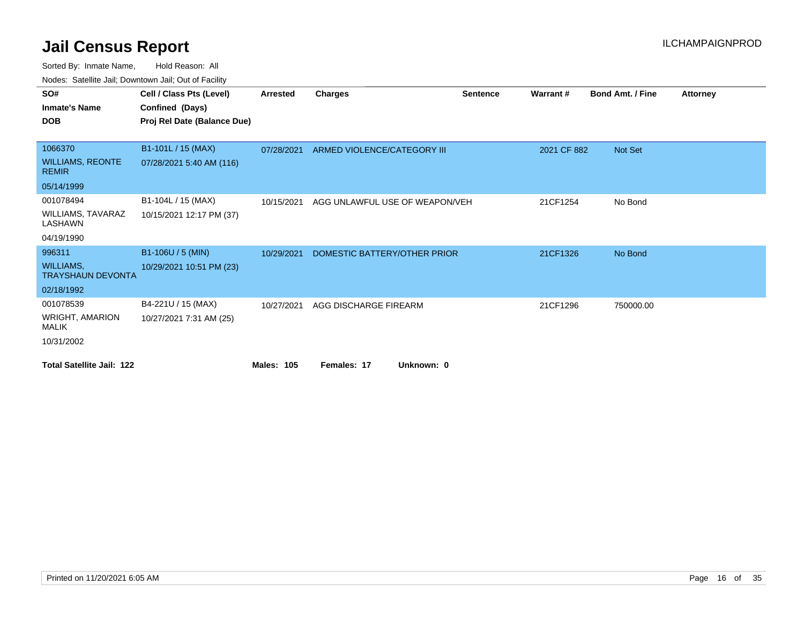| SO#                                          | Cell / Class Pts (Level)    | <b>Arrested</b>   | <b>Charges</b>                 | <b>Sentence</b> | Warrant#    | <b>Bond Amt. / Fine</b> | <b>Attorney</b> |
|----------------------------------------------|-----------------------------|-------------------|--------------------------------|-----------------|-------------|-------------------------|-----------------|
| <b>Inmate's Name</b>                         | Confined (Days)             |                   |                                |                 |             |                         |                 |
| <b>DOB</b>                                   | Proj Rel Date (Balance Due) |                   |                                |                 |             |                         |                 |
|                                              |                             |                   |                                |                 |             |                         |                 |
| 1066370                                      | B1-101L / 15 (MAX)          | 07/28/2021        | ARMED VIOLENCE/CATEGORY III    |                 | 2021 CF 882 | Not Set                 |                 |
| <b>WILLIAMS, REONTE</b><br><b>REMIR</b>      | 07/28/2021 5:40 AM (116)    |                   |                                |                 |             |                         |                 |
| 05/14/1999                                   |                             |                   |                                |                 |             |                         |                 |
| 001078494                                    | B1-104L / 15 (MAX)          | 10/15/2021        | AGG UNLAWFUL USE OF WEAPON/VEH |                 | 21CF1254    | No Bond                 |                 |
| WILLIAMS, TAVARAZ<br>LASHAWN                 | 10/15/2021 12:17 PM (37)    |                   |                                |                 |             |                         |                 |
| 04/19/1990                                   |                             |                   |                                |                 |             |                         |                 |
| 996311                                       | B1-106U / 5 (MIN)           | 10/29/2021        | DOMESTIC BATTERY/OTHER PRIOR   |                 | 21CF1326    | No Bond                 |                 |
| <b>WILLIAMS,</b><br><b>TRAYSHAUN DEVONTA</b> | 10/29/2021 10:51 PM (23)    |                   |                                |                 |             |                         |                 |
| 02/18/1992                                   |                             |                   |                                |                 |             |                         |                 |
| 001078539                                    | B4-221U / 15 (MAX)          | 10/27/2021        | AGG DISCHARGE FIREARM          |                 | 21CF1296    | 750000.00               |                 |
| WRIGHT, AMARION<br><b>MALIK</b>              | 10/27/2021 7:31 AM (25)     |                   |                                |                 |             |                         |                 |
| 10/31/2002                                   |                             |                   |                                |                 |             |                         |                 |
| <b>Total Satellite Jail: 122</b>             |                             | <b>Males: 105</b> | Females: 17<br>Unknown: 0      |                 |             |                         |                 |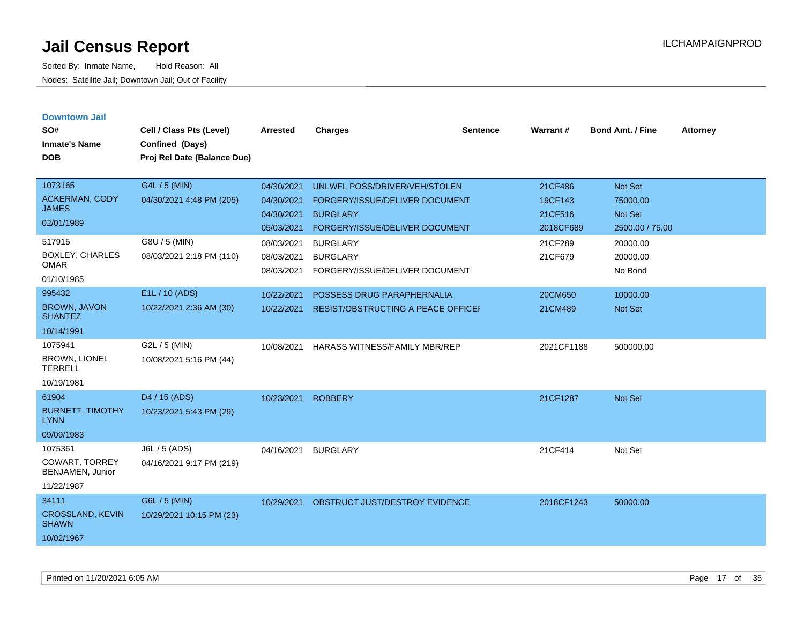| <b>Downtown Jail</b>                    |                             |                 |                                           |                 |            |                         |                 |
|-----------------------------------------|-----------------------------|-----------------|-------------------------------------------|-----------------|------------|-------------------------|-----------------|
| SO#                                     | Cell / Class Pts (Level)    | <b>Arrested</b> | <b>Charges</b>                            | <b>Sentence</b> | Warrant#   | <b>Bond Amt. / Fine</b> | <b>Attorney</b> |
| <b>Inmate's Name</b>                    | Confined (Days)             |                 |                                           |                 |            |                         |                 |
| DOB                                     | Proj Rel Date (Balance Due) |                 |                                           |                 |            |                         |                 |
|                                         |                             |                 |                                           |                 |            |                         |                 |
| 1073165                                 | G4L / 5 (MIN)               | 04/30/2021      | UNLWFL POSS/DRIVER/VEH/STOLEN             |                 | 21CF486    | Not Set                 |                 |
| <b>ACKERMAN, CODY</b>                   | 04/30/2021 4:48 PM (205)    | 04/30/2021      | FORGERY/ISSUE/DELIVER DOCUMENT            |                 | 19CF143    | 75000.00                |                 |
| <b>JAMES</b>                            |                             | 04/30/2021      | <b>BURGLARY</b>                           |                 | 21CF516    | <b>Not Set</b>          |                 |
| 02/01/1989                              |                             | 05/03/2021      | FORGERY/ISSUE/DELIVER DOCUMENT            |                 | 2018CF689  | 2500.00 / 75.00         |                 |
| 517915                                  | G8U / 5 (MIN)               | 08/03/2021      | <b>BURGLARY</b>                           |                 | 21CF289    | 20000.00                |                 |
| <b>BOXLEY, CHARLES</b>                  | 08/03/2021 2:18 PM (110)    | 08/03/2021      | <b>BURGLARY</b>                           |                 | 21CF679    | 20000.00                |                 |
| <b>OMAR</b>                             |                             | 08/03/2021      | FORGERY/ISSUE/DELIVER DOCUMENT            |                 |            | No Bond                 |                 |
| 01/10/1985                              |                             |                 |                                           |                 |            |                         |                 |
| 995432                                  | E1L / 10 (ADS)              | 10/22/2021      | POSSESS DRUG PARAPHERNALIA                |                 | 20CM650    | 10000.00                |                 |
| <b>BROWN, JAVON</b><br><b>SHANTEZ</b>   | 10/22/2021 2:36 AM (30)     | 10/22/2021      | <b>RESIST/OBSTRUCTING A PEACE OFFICEF</b> |                 | 21CM489    | <b>Not Set</b>          |                 |
| 10/14/1991                              |                             |                 |                                           |                 |            |                         |                 |
| 1075941                                 | G2L / 5 (MIN)               | 10/08/2021      | HARASS WITNESS/FAMILY MBR/REP             |                 | 2021CF1188 | 500000.00               |                 |
| <b>BROWN, LIONEL</b><br><b>TERRELL</b>  | 10/08/2021 5:16 PM (44)     |                 |                                           |                 |            |                         |                 |
| 10/19/1981                              |                             |                 |                                           |                 |            |                         |                 |
| 61904                                   | D <sub>4</sub> / 15 (ADS)   | 10/23/2021      | <b>ROBBERY</b>                            |                 | 21CF1287   | <b>Not Set</b>          |                 |
| <b>BURNETT, TIMOTHY</b><br><b>LYNN</b>  | 10/23/2021 5:43 PM (29)     |                 |                                           |                 |            |                         |                 |
| 09/09/1983                              |                             |                 |                                           |                 |            |                         |                 |
| 1075361                                 | J6L / 5 (ADS)               | 04/16/2021      | <b>BURGLARY</b>                           |                 | 21CF414    | Not Set                 |                 |
| COWART, TORREY<br>BENJAMEN, Junior      | 04/16/2021 9:17 PM (219)    |                 |                                           |                 |            |                         |                 |
| 11/22/1987                              |                             |                 |                                           |                 |            |                         |                 |
| 34111                                   | G6L / 5 (MIN)               | 10/29/2021      | OBSTRUCT JUST/DESTROY EVIDENCE            |                 | 2018CF1243 | 50000.00                |                 |
| <b>CROSSLAND, KEVIN</b><br><b>SHAWN</b> | 10/29/2021 10:15 PM (23)    |                 |                                           |                 |            |                         |                 |
| 10/02/1967                              |                             |                 |                                           |                 |            |                         |                 |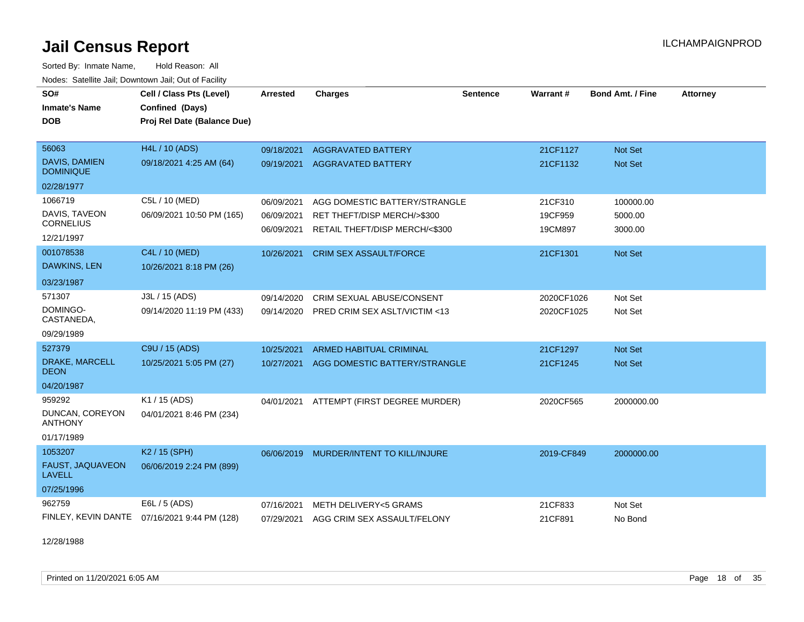Sorted By: Inmate Name, Hold Reason: All Nodes: Satellite Jail; Downtown Jail; Out of Facility

| SO#                                      | Cell / Class Pts (Level)                     | <b>Arrested</b> | <b>Charges</b>                   | Sentence | Warrant#   | Bond Amt. / Fine | <b>Attorney</b> |
|------------------------------------------|----------------------------------------------|-----------------|----------------------------------|----------|------------|------------------|-----------------|
| <b>Inmate's Name</b>                     | Confined (Days)                              |                 |                                  |          |            |                  |                 |
| <b>DOB</b>                               | Proj Rel Date (Balance Due)                  |                 |                                  |          |            |                  |                 |
|                                          |                                              |                 |                                  |          |            |                  |                 |
| 56063                                    | H4L / 10 (ADS)                               | 09/18/2021      | <b>AGGRAVATED BATTERY</b>        |          | 21CF1127   | Not Set          |                 |
| DAVIS, DAMIEN<br><b>DOMINIQUE</b>        | 09/18/2021 4:25 AM (64)                      | 09/19/2021      | <b>AGGRAVATED BATTERY</b>        |          | 21CF1132   | <b>Not Set</b>   |                 |
| 02/28/1977                               |                                              |                 |                                  |          |            |                  |                 |
| 1066719                                  | C5L / 10 (MED)                               | 06/09/2021      | AGG DOMESTIC BATTERY/STRANGLE    |          | 21CF310    | 100000.00        |                 |
| DAVIS, TAVEON                            | 06/09/2021 10:50 PM (165)                    | 06/09/2021      | RET THEFT/DISP MERCH/>\$300      |          | 19CF959    | 5000.00          |                 |
| <b>CORNELIUS</b>                         |                                              | 06/09/2021      | RETAIL THEFT/DISP MERCH/<\$300   |          | 19CM897    | 3000.00          |                 |
| 12/21/1997                               |                                              |                 |                                  |          |            |                  |                 |
| 001078538                                | C4L / 10 (MED)                               | 10/26/2021      | <b>CRIM SEX ASSAULT/FORCE</b>    |          | 21CF1301   | <b>Not Set</b>   |                 |
| <b>DAWKINS, LEN</b>                      | 10/26/2021 8:18 PM (26)                      |                 |                                  |          |            |                  |                 |
| 03/23/1987                               |                                              |                 |                                  |          |            |                  |                 |
| 571307                                   | J3L / 15 (ADS)                               | 09/14/2020      | <b>CRIM SEXUAL ABUSE/CONSENT</b> |          | 2020CF1026 | Not Set          |                 |
| DOMINGO-<br>CASTANEDA,                   | 09/14/2020 11:19 PM (433)                    | 09/14/2020      | PRED CRIM SEX ASLT/VICTIM <13    |          | 2020CF1025 | Not Set          |                 |
| 09/29/1989                               |                                              |                 |                                  |          |            |                  |                 |
| 527379                                   | C9U / 15 (ADS)                               | 10/25/2021      | <b>ARMED HABITUAL CRIMINAL</b>   |          | 21CF1297   | <b>Not Set</b>   |                 |
| DRAKE, MARCELL<br><b>DEON</b>            | 10/25/2021 5:05 PM (27)                      | 10/27/2021      | AGG DOMESTIC BATTERY/STRANGLE    |          | 21CF1245   | <b>Not Set</b>   |                 |
| 04/20/1987                               |                                              |                 |                                  |          |            |                  |                 |
| 959292                                   | K1 / 15 (ADS)                                | 04/01/2021      | ATTEMPT (FIRST DEGREE MURDER)    |          | 2020CF565  | 2000000.00       |                 |
| DUNCAN, COREYON<br><b>ANTHONY</b>        | 04/01/2021 8:46 PM (234)                     |                 |                                  |          |            |                  |                 |
| 01/17/1989                               |                                              |                 |                                  |          |            |                  |                 |
| 1053207                                  | K <sub>2</sub> / 15 (SPH)                    | 06/06/2019      | MURDER/INTENT TO KILL/INJURE     |          | 2019-CF849 | 2000000.00       |                 |
| <b>FAUST, JAQUAVEON</b><br><b>LAVELL</b> | 06/06/2019 2:24 PM (899)                     |                 |                                  |          |            |                  |                 |
| 07/25/1996                               |                                              |                 |                                  |          |            |                  |                 |
| 962759                                   | E6L / 5 (ADS)                                | 07/16/2021      | METH DELIVERY<5 GRAMS            |          | 21CF833    | Not Set          |                 |
|                                          | FINLEY, KEVIN DANTE 07/16/2021 9:44 PM (128) | 07/29/2021      | AGG CRIM SEX ASSAULT/FELONY      |          | 21CF891    | No Bond          |                 |

12/28/1988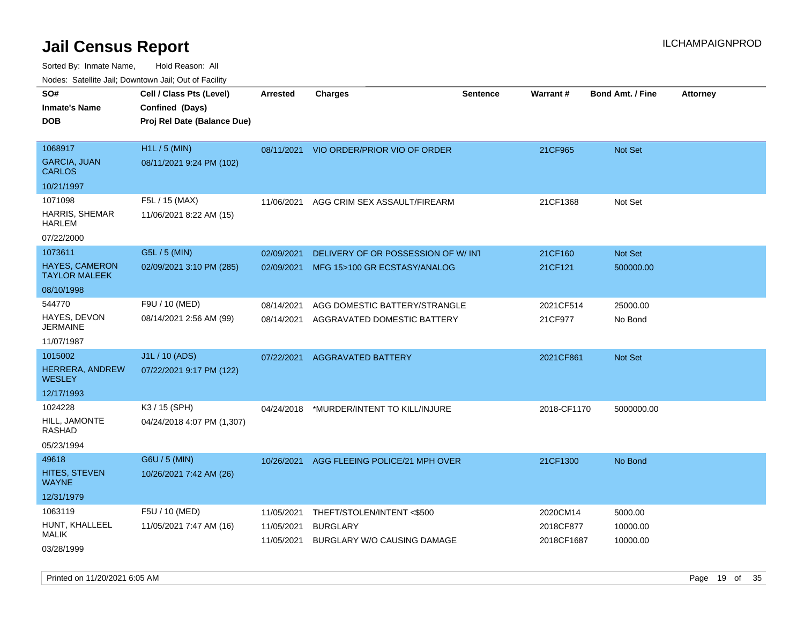Sorted By: Inmate Name, Hold Reason: All Nodes: Satellite Jail; Downtown Jail; Out of Facility

|                                        | rouco. Calcinic Jan, Downtown Jan, Out of Facility                         |                          |                                                       |                 |                         |                         |                 |
|----------------------------------------|----------------------------------------------------------------------------|--------------------------|-------------------------------------------------------|-----------------|-------------------------|-------------------------|-----------------|
| SO#<br>Inmate's Name<br><b>DOB</b>     | Cell / Class Pts (Level)<br>Confined (Days)<br>Proj Rel Date (Balance Due) | <b>Arrested</b>          | <b>Charges</b>                                        | <b>Sentence</b> | <b>Warrant#</b>         | <b>Bond Amt. / Fine</b> | <b>Attorney</b> |
|                                        |                                                                            |                          |                                                       |                 |                         |                         |                 |
| 1068917                                | H1L / 5 (MIN)                                                              |                          | 08/11/2021 VIO ORDER/PRIOR VIO OF ORDER               |                 | 21CF965                 | Not Set                 |                 |
| <b>GARCIA, JUAN</b><br>CARLOS          | 08/11/2021 9:24 PM (102)                                                   |                          |                                                       |                 |                         |                         |                 |
| 10/21/1997                             |                                                                            |                          |                                                       |                 |                         |                         |                 |
| 1071098                                | F5L / 15 (MAX)                                                             | 11/06/2021               | AGG CRIM SEX ASSAULT/FIREARM                          |                 | 21CF1368                | Not Set                 |                 |
| HARRIS, SHEMAR<br>HARLEM               | 11/06/2021 8:22 AM (15)                                                    |                          |                                                       |                 |                         |                         |                 |
| 07/22/2000                             |                                                                            |                          |                                                       |                 |                         |                         |                 |
| 1073611                                | G5L / 5 (MIN)                                                              | 02/09/2021               | DELIVERY OF OR POSSESSION OF W/ INT                   |                 | 21CF160                 | Not Set                 |                 |
| HAYES, CAMERON<br><b>TAYLOR MALEEK</b> | 02/09/2021 3:10 PM (285)                                                   | 02/09/2021               | MFG 15>100 GR ECSTASY/ANALOG                          |                 | 21CF121                 | 500000.00               |                 |
| 08/10/1998                             |                                                                            |                          |                                                       |                 |                         |                         |                 |
| 544770                                 | F9U / 10 (MED)                                                             | 08/14/2021               | AGG DOMESTIC BATTERY/STRANGLE                         |                 | 2021CF514               | 25000.00                |                 |
| HAYES, DEVON<br>JERMAINE               | 08/14/2021 2:56 AM (99)                                                    | 08/14/2021               | AGGRAVATED DOMESTIC BATTERY                           |                 | 21CF977                 | No Bond                 |                 |
| 11/07/1987                             |                                                                            |                          |                                                       |                 |                         |                         |                 |
| 1015002                                | J1L / 10 (ADS)                                                             | 07/22/2021               | <b>AGGRAVATED BATTERY</b>                             |                 | 2021CF861               | <b>Not Set</b>          |                 |
| <b>HERRERA, ANDREW</b><br>WESLEY       | 07/22/2021 9:17 PM (122)                                                   |                          |                                                       |                 |                         |                         |                 |
| 12/17/1993                             |                                                                            |                          |                                                       |                 |                         |                         |                 |
| 1024228                                | K3 / 15 (SPH)                                                              | 04/24/2018               | *MURDER/INTENT TO KILL/INJURE                         |                 | 2018-CF1170             | 5000000.00              |                 |
| HILL, JAMONTE<br>RASHAD                | 04/24/2018 4:07 PM (1,307)                                                 |                          |                                                       |                 |                         |                         |                 |
| 05/23/1994                             |                                                                            |                          |                                                       |                 |                         |                         |                 |
| 49618                                  | G6U / 5 (MIN)                                                              | 10/26/2021               | AGG FLEEING POLICE/21 MPH OVER                        |                 | 21CF1300                | No Bond                 |                 |
| HITES, STEVEN<br>WAYNE                 | 10/26/2021 7:42 AM (26)                                                    |                          |                                                       |                 |                         |                         |                 |
| 12/31/1979                             |                                                                            |                          |                                                       |                 |                         |                         |                 |
| 1063119                                | F5U / 10 (MED)                                                             | 11/05/2021               | THEFT/STOLEN/INTENT <\$500                            |                 | 2020CM14                | 5000.00                 |                 |
| HUNT, KHALLEEL<br>MALIK                | 11/05/2021 7:47 AM (16)                                                    | 11/05/2021<br>11/05/2021 | <b>BURGLARY</b><br><b>BURGLARY W/O CAUSING DAMAGE</b> |                 | 2018CF877<br>2018CF1687 | 10000.00<br>10000.00    |                 |
| 03/28/1999                             |                                                                            |                          |                                                       |                 |                         |                         |                 |

Printed on 11/20/2021 6:05 AM **Page 19 of 35**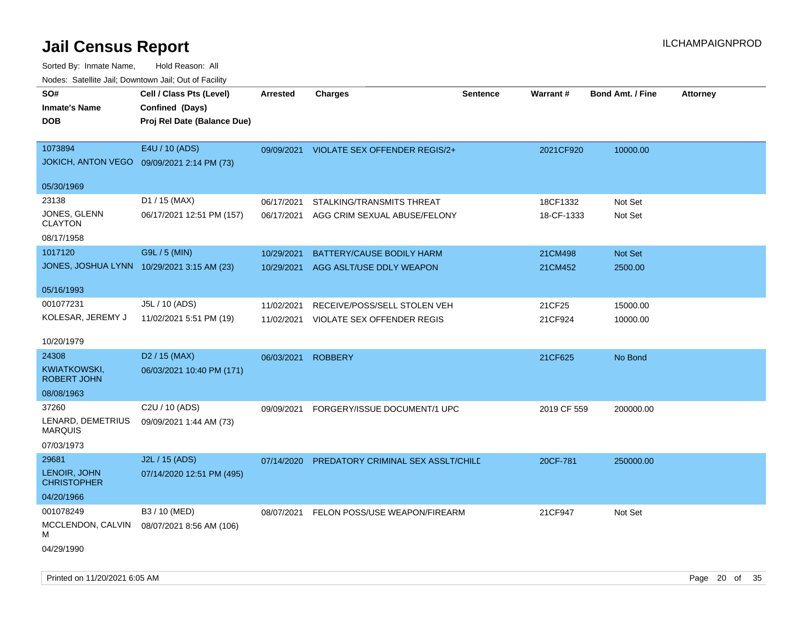| SO#<br><b>Inmate's Name</b><br><b>DOB</b>  | Cell / Class Pts (Level)<br>Confined (Days)<br>Proj Rel Date (Balance Due) | Arrested   | <b>Charges</b>                       | <b>Sentence</b> | <b>Warrant#</b> | <b>Bond Amt. / Fine</b> | <b>Attorney</b> |
|--------------------------------------------|----------------------------------------------------------------------------|------------|--------------------------------------|-----------------|-----------------|-------------------------|-----------------|
| 1073894<br>JOKICH, ANTON VEGO              | E4U / 10 (ADS)<br>09/09/2021 2:14 PM (73)                                  | 09/09/2021 | <b>VIOLATE SEX OFFENDER REGIS/2+</b> |                 | 2021CF920       | 10000.00                |                 |
| 05/30/1969                                 |                                                                            |            |                                      |                 |                 |                         |                 |
| 23138                                      | D1 / 15 (MAX)                                                              | 06/17/2021 | STALKING/TRANSMITS THREAT            |                 | 18CF1332        | Not Set                 |                 |
| JONES, GLENN<br><b>CLAYTON</b>             | 06/17/2021 12:51 PM (157)                                                  | 06/17/2021 | AGG CRIM SEXUAL ABUSE/FELONY         |                 | 18-CF-1333      | Not Set                 |                 |
| 08/17/1958                                 |                                                                            |            |                                      |                 |                 |                         |                 |
| 1017120                                    | G9L / 5 (MIN)                                                              | 10/29/2021 | <b>BATTERY/CAUSE BODILY HARM</b>     |                 | 21CM498         | Not Set                 |                 |
| JONES, JOSHUA LYNN 10/29/2021 3:15 AM (23) |                                                                            | 10/29/2021 | AGG ASLT/USE DDLY WEAPON             |                 | 21CM452         | 2500.00                 |                 |
| 05/16/1993                                 |                                                                            |            |                                      |                 |                 |                         |                 |
| 001077231                                  | J5L / 10 (ADS)                                                             | 11/02/2021 | RECEIVE/POSS/SELL STOLEN VEH         |                 | 21CF25          | 15000.00                |                 |
| KOLESAR, JEREMY J                          | 11/02/2021 5:51 PM (19)                                                    | 11/02/2021 | VIOLATE SEX OFFENDER REGIS           |                 | 21CF924         | 10000.00                |                 |
| 10/20/1979                                 |                                                                            |            |                                      |                 |                 |                         |                 |
| 24308                                      | D <sub>2</sub> / 15 (MAX)                                                  | 06/03/2021 | <b>ROBBERY</b>                       |                 | 21CF625         | No Bond                 |                 |
| KWIATKOWSKI,<br><b>ROBERT JOHN</b>         | 06/03/2021 10:40 PM (171)                                                  |            |                                      |                 |                 |                         |                 |
| 08/08/1963                                 |                                                                            |            |                                      |                 |                 |                         |                 |
| 37260                                      | C2U / 10 (ADS)                                                             | 09/09/2021 | FORGERY/ISSUE DOCUMENT/1 UPC         |                 | 2019 CF 559     | 200000.00               |                 |
| LENARD, DEMETRIUS<br><b>MARQUIS</b>        | 09/09/2021 1:44 AM (73)                                                    |            |                                      |                 |                 |                         |                 |
| 07/03/1973                                 |                                                                            |            |                                      |                 |                 |                         |                 |
| 29681                                      | J2L / 15 (ADS)                                                             | 07/14/2020 | PREDATORY CRIMINAL SEX ASSLT/CHILD   |                 | 20CF-781        | 250000.00               |                 |
| LENOIR, JOHN<br><b>CHRISTOPHER</b>         | 07/14/2020 12:51 PM (495)                                                  |            |                                      |                 |                 |                         |                 |
| 04/20/1966                                 |                                                                            |            |                                      |                 |                 |                         |                 |
| 001078249                                  | B3 / 10 (MED)                                                              | 08/07/2021 | FELON POSS/USE WEAPON/FIREARM        |                 | 21CF947         | Not Set                 |                 |
| MCCLENDON, CALVIN<br>м                     | 08/07/2021 8:56 AM (106)                                                   |            |                                      |                 |                 |                         |                 |
| 04/29/1990                                 |                                                                            |            |                                      |                 |                 |                         |                 |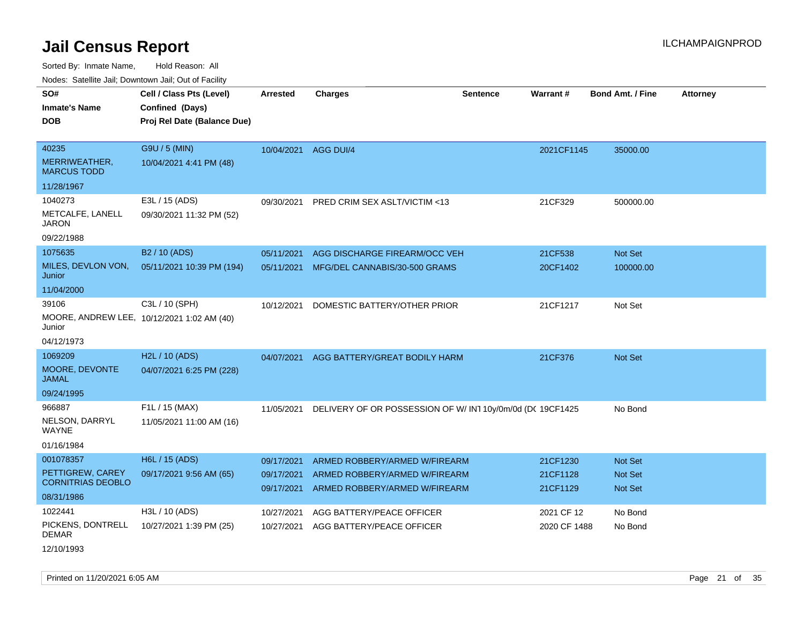Sorted By: Inmate Name, Hold Reason: All

Nodes: Satellite Jail; Downtown Jail; Out of Facility

| SO#<br><b>Inmate's Name</b><br><b>DOB</b>            | Cell / Class Pts (Level)<br>Confined (Days)<br>Proj Rel Date (Balance Due) | Arrested             | <b>Charges</b>                                           | Sentence | <b>Warrant#</b> | <b>Bond Amt. / Fine</b> | <b>Attorney</b> |
|------------------------------------------------------|----------------------------------------------------------------------------|----------------------|----------------------------------------------------------|----------|-----------------|-------------------------|-----------------|
| 40235                                                | G9U / 5 (MIN)                                                              | 10/04/2021 AGG DUI/4 |                                                          |          | 2021CF1145      | 35000.00                |                 |
| MERRIWEATHER,<br><b>MARCUS TODD</b>                  | 10/04/2021 4:41 PM (48)                                                    |                      |                                                          |          |                 |                         |                 |
| 11/28/1967                                           |                                                                            |                      |                                                          |          |                 |                         |                 |
| 1040273                                              | E3L / 15 (ADS)                                                             | 09/30/2021           | PRED CRIM SEX ASLT/VICTIM <13                            |          | 21CF329         | 500000.00               |                 |
| METCALFE, LANELL<br><b>JARON</b>                     | 09/30/2021 11:32 PM (52)                                                   |                      |                                                          |          |                 |                         |                 |
| 09/22/1988                                           |                                                                            |                      |                                                          |          |                 |                         |                 |
| 1075635                                              | B <sub>2</sub> / 10 (ADS)                                                  | 05/11/2021           | AGG DISCHARGE FIREARM/OCC VEH                            |          | 21CF538         | <b>Not Set</b>          |                 |
| MILES, DEVLON VON,<br>Junior                         | 05/11/2021 10:39 PM (194)                                                  | 05/11/2021           | MFG/DEL CANNABIS/30-500 GRAMS                            |          | 20CF1402        | 100000.00               |                 |
| 11/04/2000                                           |                                                                            |                      |                                                          |          |                 |                         |                 |
| 39106                                                | C3L / 10 (SPH)                                                             | 10/12/2021           | DOMESTIC BATTERY/OTHER PRIOR                             |          | 21CF1217        | Not Set                 |                 |
| MOORE, ANDREW LEE, 10/12/2021 1:02 AM (40)<br>Junior |                                                                            |                      |                                                          |          |                 |                         |                 |
| 04/12/1973                                           |                                                                            |                      |                                                          |          |                 |                         |                 |
| 1069209                                              | H <sub>2</sub> L / 10 (ADS)                                                | 04/07/2021           | AGG BATTERY/GREAT BODILY HARM                            |          | 21CF376         | <b>Not Set</b>          |                 |
| MOORE, DEVONTE<br><b>JAMAL</b>                       | 04/07/2021 6:25 PM (228)                                                   |                      |                                                          |          |                 |                         |                 |
| 09/24/1995                                           |                                                                            |                      |                                                          |          |                 |                         |                 |
| 966887                                               | F1L / 15 (MAX)                                                             | 11/05/2021           | DELIVERY OF OR POSSESSION OF W/IN110y/0m/0d (DC 19CF1425 |          |                 | No Bond                 |                 |
| NELSON, DARRYL<br><b>WAYNE</b>                       | 11/05/2021 11:00 AM (16)                                                   |                      |                                                          |          |                 |                         |                 |
| 01/16/1984                                           |                                                                            |                      |                                                          |          |                 |                         |                 |
| 001078357                                            | H6L / 15 (ADS)                                                             | 09/17/2021           | ARMED ROBBERY/ARMED W/FIREARM                            |          | 21CF1230        | Not Set                 |                 |
| PETTIGREW, CAREY                                     | 09/17/2021 9:56 AM (65)                                                    | 09/17/2021           | ARMED ROBBERY/ARMED W/FIREARM                            |          | 21CF1128        | <b>Not Set</b>          |                 |
| <b>CORNITRIAS DEOBLO</b>                             |                                                                            | 09/17/2021           | ARMED ROBBERY/ARMED W/FIREARM                            |          | 21CF1129        | <b>Not Set</b>          |                 |
| 08/31/1986                                           |                                                                            |                      |                                                          |          |                 |                         |                 |
| 1022441                                              | H3L / 10 (ADS)                                                             | 10/27/2021           | AGG BATTERY/PEACE OFFICER                                |          | 2021 CF 12      | No Bond                 |                 |
| PICKENS, DONTRELL<br><b>DEMAR</b>                    | 10/27/2021 1:39 PM (25)                                                    | 10/27/2021           | AGG BATTERY/PEACE OFFICER                                |          | 2020 CF 1488    | No Bond                 |                 |
| . <i>.</i> .                                         |                                                                            |                      |                                                          |          |                 |                         |                 |

12/10/1993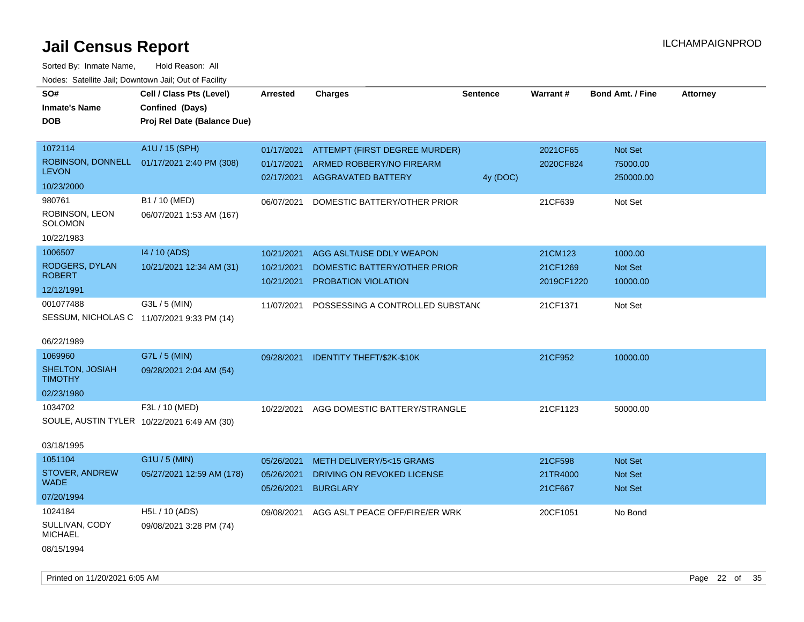| Cell / Class Pts (Level)<br>Confined (Days)<br>Proj Rel Date (Balance Due) | <b>Arrested</b>                                                                                        | <b>Charges</b>               | <b>Sentence</b>                                                                                                                                                                                                                        | Warrant#                                                                                                                             | <b>Bond Amt. / Fine</b> | <b>Attorney</b>                   |
|----------------------------------------------------------------------------|--------------------------------------------------------------------------------------------------------|------------------------------|----------------------------------------------------------------------------------------------------------------------------------------------------------------------------------------------------------------------------------------|--------------------------------------------------------------------------------------------------------------------------------------|-------------------------|-----------------------------------|
|                                                                            |                                                                                                        |                              |                                                                                                                                                                                                                                        |                                                                                                                                      |                         |                                   |
| A1U / 15 (SPH)                                                             | 01/17/2021                                                                                             |                              |                                                                                                                                                                                                                                        | 2021CF65                                                                                                                             | Not Set                 |                                   |
| 01/17/2021 2:40 PM (308)                                                   | 01/17/2021                                                                                             |                              |                                                                                                                                                                                                                                        | 2020CF824                                                                                                                            | 75000.00                |                                   |
|                                                                            | 02/17/2021                                                                                             |                              | 4y (DOC)                                                                                                                                                                                                                               |                                                                                                                                      | 250000.00               |                                   |
|                                                                            |                                                                                                        |                              |                                                                                                                                                                                                                                        |                                                                                                                                      |                         |                                   |
| B1 / 10 (MED)                                                              | 06/07/2021                                                                                             |                              |                                                                                                                                                                                                                                        | 21CF639                                                                                                                              | Not Set                 |                                   |
| 06/07/2021 1:53 AM (167)                                                   |                                                                                                        |                              |                                                                                                                                                                                                                                        |                                                                                                                                      |                         |                                   |
|                                                                            |                                                                                                        |                              |                                                                                                                                                                                                                                        |                                                                                                                                      |                         |                                   |
| 14 / 10 (ADS)                                                              | 10/21/2021                                                                                             |                              |                                                                                                                                                                                                                                        | 21CM123                                                                                                                              | 1000.00                 |                                   |
| 10/21/2021 12:34 AM (31)                                                   | 10/21/2021                                                                                             | DOMESTIC BATTERY/OTHER PRIOR |                                                                                                                                                                                                                                        | 21CF1269                                                                                                                             | Not Set                 |                                   |
|                                                                            | 10/21/2021                                                                                             |                              |                                                                                                                                                                                                                                        |                                                                                                                                      |                         |                                   |
|                                                                            |                                                                                                        |                              |                                                                                                                                                                                                                                        |                                                                                                                                      |                         |                                   |
| $G3L / 5$ (MIN)                                                            | 11/07/2021                                                                                             |                              |                                                                                                                                                                                                                                        | 21CF1371                                                                                                                             | Not Set                 |                                   |
| SESSUM, NICHOLAS C 11/07/2021 9:33 PM (14)                                 |                                                                                                        |                              |                                                                                                                                                                                                                                        |                                                                                                                                      |                         |                                   |
|                                                                            |                                                                                                        |                              |                                                                                                                                                                                                                                        |                                                                                                                                      |                         |                                   |
|                                                                            |                                                                                                        |                              |                                                                                                                                                                                                                                        |                                                                                                                                      |                         |                                   |
|                                                                            | 09/28/2021                                                                                             |                              |                                                                                                                                                                                                                                        | 21CF952                                                                                                                              | 10000.00                |                                   |
|                                                                            |                                                                                                        |                              |                                                                                                                                                                                                                                        |                                                                                                                                      |                         |                                   |
|                                                                            |                                                                                                        |                              |                                                                                                                                                                                                                                        |                                                                                                                                      |                         |                                   |
| F3L / 10 (MED)                                                             | 10/22/2021                                                                                             |                              |                                                                                                                                                                                                                                        | 21CF1123                                                                                                                             | 50000.00                |                                   |
| SOULE, AUSTIN TYLER 10/22/2021 6:49 AM (30)                                |                                                                                                        |                              |                                                                                                                                                                                                                                        |                                                                                                                                      |                         |                                   |
|                                                                            |                                                                                                        |                              |                                                                                                                                                                                                                                        |                                                                                                                                      |                         |                                   |
|                                                                            |                                                                                                        |                              |                                                                                                                                                                                                                                        |                                                                                                                                      |                         |                                   |
|                                                                            | 05/26/2021                                                                                             |                              |                                                                                                                                                                                                                                        | 21CF598                                                                                                                              | <b>Not Set</b>          |                                   |
| 05/27/2021 12:59 AM (178)                                                  | 05/26/2021                                                                                             |                              |                                                                                                                                                                                                                                        | 21TR4000                                                                                                                             | Not Set                 |                                   |
|                                                                            | 05/26/2021                                                                                             | <b>BURGLARY</b>              |                                                                                                                                                                                                                                        | 21CF667                                                                                                                              | <b>Not Set</b>          |                                   |
|                                                                            |                                                                                                        |                              |                                                                                                                                                                                                                                        |                                                                                                                                      |                         |                                   |
|                                                                            | 09/08/2021                                                                                             |                              |                                                                                                                                                                                                                                        |                                                                                                                                      |                         |                                   |
|                                                                            |                                                                                                        |                              |                                                                                                                                                                                                                                        |                                                                                                                                      |                         |                                   |
|                                                                            |                                                                                                        |                              |                                                                                                                                                                                                                                        |                                                                                                                                      |                         |                                   |
|                                                                            | G7L / 5 (MIN)<br>09/28/2021 2:04 AM (54)<br>G1U / 5 (MIN)<br>H5L / 10 (ADS)<br>09/08/2021 3:28 PM (74) |                              | ARMED ROBBERY/NO FIREARM<br><b>AGGRAVATED BATTERY</b><br>DOMESTIC BATTERY/OTHER PRIOR<br>AGG ASLT/USE DDLY WEAPON<br>PROBATION VIOLATION<br><b>IDENTITY THEFT/\$2K-\$10K</b><br>METH DELIVERY/5<15 GRAMS<br>DRIVING ON REVOKED LICENSE | ATTEMPT (FIRST DEGREE MURDER)<br>POSSESSING A CONTROLLED SUBSTAND<br>AGG DOMESTIC BATTERY/STRANGLE<br>AGG ASLT PEACE OFF/FIRE/ER WRK | 20CF1051                | 2019CF1220<br>10000.00<br>No Bond |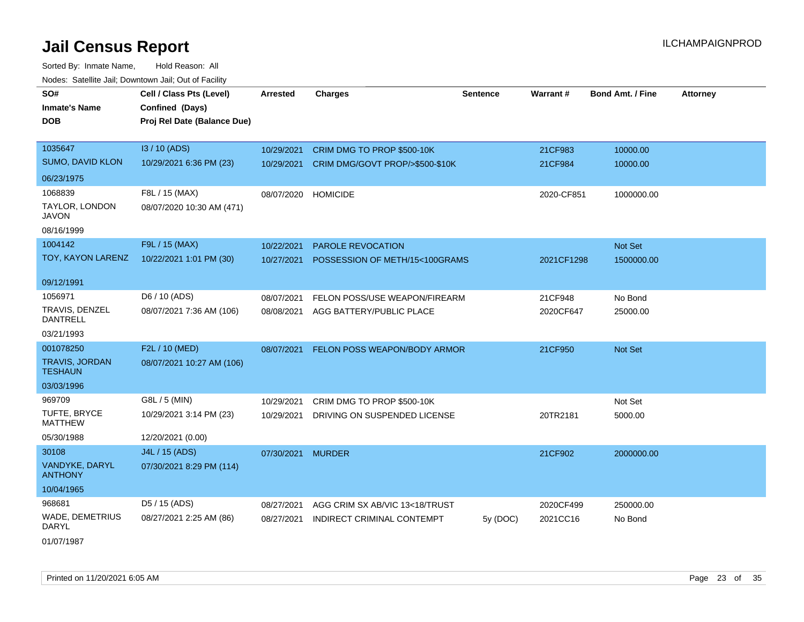Sorted By: Inmate Name, Hold Reason: All Nodes: Satellite Jail; Downtown Jail; Out of Facility

| SO#                                     | Cell / Class Pts (Level)    | <b>Arrested</b> | <b>Charges</b>                    | <b>Sentence</b> | <b>Warrant#</b> | <b>Bond Amt. / Fine</b> | <b>Attorney</b> |
|-----------------------------------------|-----------------------------|-----------------|-----------------------------------|-----------------|-----------------|-------------------------|-----------------|
| <b>Inmate's Name</b>                    | Confined (Days)             |                 |                                   |                 |                 |                         |                 |
| DOB                                     | Proj Rel Date (Balance Due) |                 |                                   |                 |                 |                         |                 |
|                                         |                             |                 |                                   |                 |                 |                         |                 |
| 1035647                                 | I3 / 10 (ADS)               | 10/29/2021      | CRIM DMG TO PROP \$500-10K        |                 | 21CF983         | 10000.00                |                 |
| SUMO, DAVID KLON                        | 10/29/2021 6:36 PM (23)     | 10/29/2021      | CRIM DMG/GOVT PROP/>\$500-\$10K   |                 | 21CF984         | 10000.00                |                 |
| 06/23/1975                              |                             |                 |                                   |                 |                 |                         |                 |
| 1068839                                 | F8L / 15 (MAX)              | 08/07/2020      | <b>HOMICIDE</b>                   |                 | 2020-CF851      | 1000000.00              |                 |
| TAYLOR, LONDON<br>JAVON                 | 08/07/2020 10:30 AM (471)   |                 |                                   |                 |                 |                         |                 |
| 08/16/1999                              |                             |                 |                                   |                 |                 |                         |                 |
| 1004142                                 | F9L / 15 (MAX)              | 10/22/2021      | <b>PAROLE REVOCATION</b>          |                 |                 | Not Set                 |                 |
| TOY, KAYON LARENZ                       | 10/22/2021 1:01 PM (30)     | 10/27/2021      | POSSESSION OF METH/15<100GRAMS    |                 | 2021CF1298      | 1500000.00              |                 |
| 09/12/1991                              |                             |                 |                                   |                 |                 |                         |                 |
| 1056971                                 | D6 / 10 (ADS)               | 08/07/2021      | FELON POSS/USE WEAPON/FIREARM     |                 | 21CF948         | No Bond                 |                 |
| TRAVIS, DENZEL<br>DANTRELL              | 08/07/2021 7:36 AM (106)    | 08/08/2021      | AGG BATTERY/PUBLIC PLACE          |                 | 2020CF647       | 25000.00                |                 |
| 03/21/1993                              |                             |                 |                                   |                 |                 |                         |                 |
| 001078250                               | F2L / 10 (MED)              | 08/07/2021      | FELON POSS WEAPON/BODY ARMOR      |                 | 21CF950         | Not Set                 |                 |
| <b>TRAVIS, JORDAN</b><br><b>TESHAUN</b> | 08/07/2021 10:27 AM (106)   |                 |                                   |                 |                 |                         |                 |
| 03/03/1996                              |                             |                 |                                   |                 |                 |                         |                 |
| 969709                                  | G8L / 5 (MIN)               | 10/29/2021      | CRIM DMG TO PROP \$500-10K        |                 |                 | Not Set                 |                 |
| TUFTE, BRYCE<br><b>MATTHEW</b>          | 10/29/2021 3:14 PM (23)     | 10/29/2021      | DRIVING ON SUSPENDED LICENSE      |                 | 20TR2181        | 5000.00                 |                 |
| 05/30/1988                              | 12/20/2021 (0.00)           |                 |                                   |                 |                 |                         |                 |
| 30108                                   | J4L / 15 (ADS)              | 07/30/2021      | <b>MURDER</b>                     |                 | 21CF902         | 2000000.00              |                 |
| VANDYKE, DARYL<br><b>ANTHONY</b>        | 07/30/2021 8:29 PM (114)    |                 |                                   |                 |                 |                         |                 |
| 10/04/1965                              |                             |                 |                                   |                 |                 |                         |                 |
| 968681                                  | D5 / 15 (ADS)               | 08/27/2021      | AGG CRIM SX AB/VIC 13<18/TRUST    |                 | 2020CF499       | 250000.00               |                 |
| <b>WADE, DEMETRIUS</b><br>DARYL         | 08/27/2021 2:25 AM (86)     | 08/27/2021      | <b>INDIRECT CRIMINAL CONTEMPT</b> | 5y (DOC)        | 2021CC16        | No Bond                 |                 |
|                                         |                             |                 |                                   |                 |                 |                         |                 |

01/07/1987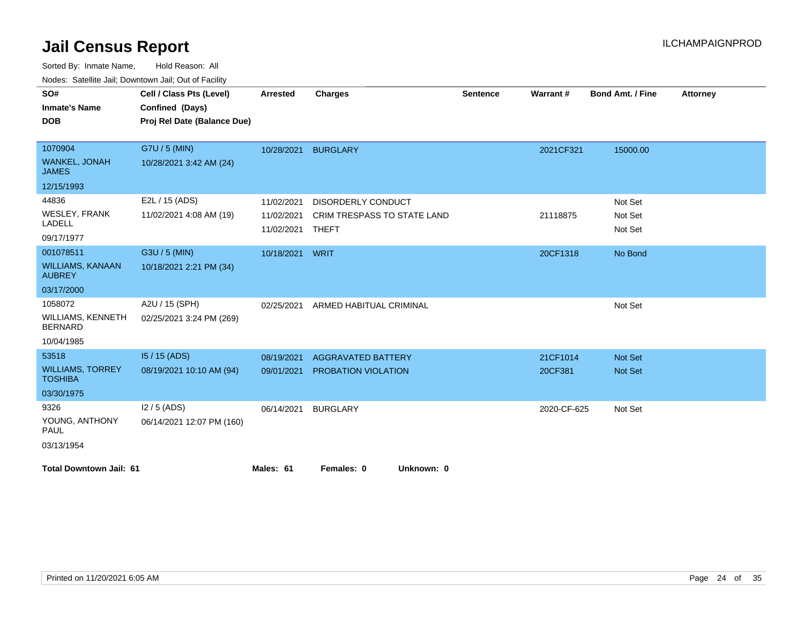| SO#                                       | Cell / Class Pts (Level)    | Arrested   | <b>Charges</b>              | <b>Sentence</b> | <b>Warrant#</b> | <b>Bond Amt. / Fine</b> | <b>Attorney</b> |
|-------------------------------------------|-----------------------------|------------|-----------------------------|-----------------|-----------------|-------------------------|-----------------|
| <b>Inmate's Name</b>                      | Confined (Days)             |            |                             |                 |                 |                         |                 |
| <b>DOB</b>                                | Proj Rel Date (Balance Due) |            |                             |                 |                 |                         |                 |
|                                           |                             |            |                             |                 |                 |                         |                 |
| 1070904                                   | G7U / 5 (MIN)               | 10/28/2021 | <b>BURGLARY</b>             |                 | 2021CF321       | 15000.00                |                 |
| <b>WANKEL, JONAH</b><br><b>JAMES</b>      | 10/28/2021 3:42 AM (24)     |            |                             |                 |                 |                         |                 |
| 12/15/1993                                |                             |            |                             |                 |                 |                         |                 |
| 44836                                     | E2L / 15 (ADS)              | 11/02/2021 | <b>DISORDERLY CONDUCT</b>   |                 |                 | Not Set                 |                 |
| <b>WESLEY, FRANK</b>                      | 11/02/2021 4:08 AM (19)     | 11/02/2021 | CRIM TRESPASS TO STATE LAND |                 | 21118875        | Not Set                 |                 |
| <b>LADELL</b>                             |                             | 11/02/2021 | THEFT                       |                 |                 | Not Set                 |                 |
| 09/17/1977                                |                             |            |                             |                 |                 |                         |                 |
| 001078511                                 | G3U / 5 (MIN)               | 10/18/2021 | WRIT                        |                 | 20CF1318        | No Bond                 |                 |
| <b>WILLIAMS, KANAAN</b><br><b>AUBREY</b>  | 10/18/2021 2:21 PM (34)     |            |                             |                 |                 |                         |                 |
| 03/17/2000                                |                             |            |                             |                 |                 |                         |                 |
| 1058072                                   | A2U / 15 (SPH)              | 02/25/2021 | ARMED HABITUAL CRIMINAL     |                 |                 | Not Set                 |                 |
| WILLIAMS, KENNETH<br><b>BERNARD</b>       | 02/25/2021 3:24 PM (269)    |            |                             |                 |                 |                         |                 |
| 10/04/1985                                |                             |            |                             |                 |                 |                         |                 |
| 53518                                     | I5 / 15 (ADS)               | 08/19/2021 | <b>AGGRAVATED BATTERY</b>   |                 | 21CF1014        | Not Set                 |                 |
| <b>WILLIAMS, TORREY</b><br><b>TOSHIBA</b> | 08/19/2021 10:10 AM (94)    | 09/01/2021 | <b>PROBATION VIOLATION</b>  |                 | 20CF381         | <b>Not Set</b>          |                 |
| 03/30/1975                                |                             |            |                             |                 |                 |                         |                 |
| 9326                                      | $12/5$ (ADS)                | 06/14/2021 | <b>BURGLARY</b>             |                 | 2020-CF-625     | Not Set                 |                 |
| YOUNG, ANTHONY<br>PAUL                    | 06/14/2021 12:07 PM (160)   |            |                             |                 |                 |                         |                 |
| 03/13/1954                                |                             |            |                             |                 |                 |                         |                 |
| <b>Total Downtown Jail: 61</b>            |                             | Males: 61  | Females: 0<br>Unknown: 0    |                 |                 |                         |                 |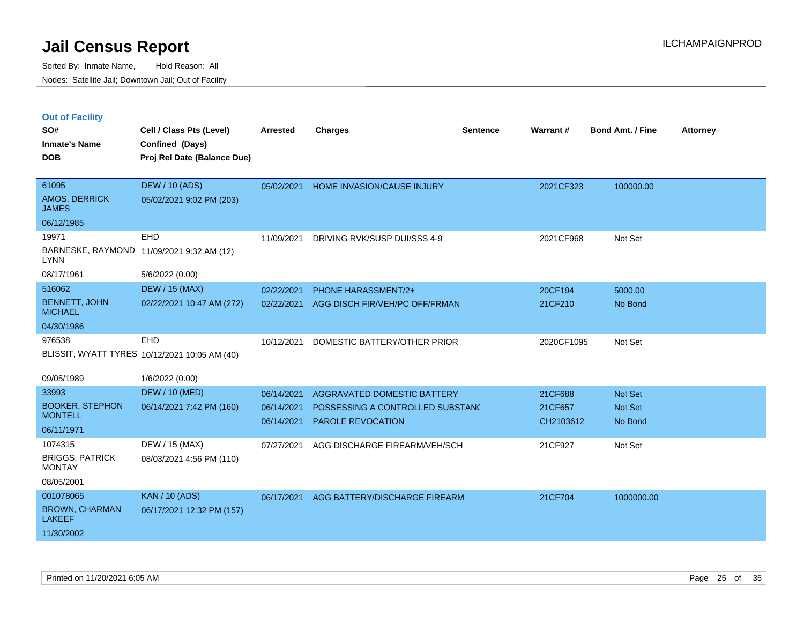|  |  | <b>Out of Facility</b> |
|--|--|------------------------|
|  |  |                        |

| SO#<br><b>Inmate's Name</b><br><b>DOB</b>                                     | Cell / Class Pts (Level)<br>Confined (Days)<br>Proj Rel Date (Balance Due) | <b>Arrested</b>                        | <b>Charges</b>                                                                                     | <b>Sentence</b> | Warrant#                        | <b>Bond Amt. / Fine</b>       | <b>Attorney</b> |
|-------------------------------------------------------------------------------|----------------------------------------------------------------------------|----------------------------------------|----------------------------------------------------------------------------------------------------|-----------------|---------------------------------|-------------------------------|-----------------|
| 61095<br>AMOS, DERRICK<br><b>JAMES</b>                                        | <b>DEW / 10 (ADS)</b><br>05/02/2021 9:02 PM (203)                          | 05/02/2021                             | HOME INVASION/CAUSE INJURY                                                                         |                 | 2021CF323                       | 100000.00                     |                 |
| 06/12/1985<br>19971<br><b>LYNN</b><br>08/17/1961                              | <b>EHD</b><br>BARNESKE, RAYMOND 11/09/2021 9:32 AM (12)<br>5/6/2022 (0.00) | 11/09/2021                             | DRIVING RVK/SUSP DUI/SSS 4-9                                                                       |                 | 2021CF968                       | Not Set                       |                 |
| 516062<br><b>BENNETT, JOHN</b><br><b>MICHAEL</b><br>04/30/1986                | <b>DEW / 15 (MAX)</b><br>02/22/2021 10:47 AM (272)                         | 02/22/2021<br>02/22/2021               | <b>PHONE HARASSMENT/2+</b><br>AGG DISCH FIR/VEH/PC OFF/FRMAN                                       |                 | 20CF194<br>21CF210              | 5000.00<br>No Bond            |                 |
| 976538                                                                        | EHD<br>BLISSIT, WYATT TYRES 10/12/2021 10:05 AM (40)                       | 10/12/2021                             | DOMESTIC BATTERY/OTHER PRIOR                                                                       |                 | 2020CF1095                      | Not Set                       |                 |
| 09/05/1989<br>33993<br><b>BOOKER, STEPHON</b><br><b>MONTELL</b><br>06/11/1971 | 1/6/2022 (0.00)<br><b>DEW / 10 (MED)</b><br>06/14/2021 7:42 PM (160)       | 06/14/2021<br>06/14/2021<br>06/14/2021 | <b>AGGRAVATED DOMESTIC BATTERY</b><br>POSSESSING A CONTROLLED SUBSTANC<br><b>PAROLE REVOCATION</b> |                 | 21CF688<br>21CF657<br>CH2103612 | Not Set<br>Not Set<br>No Bond |                 |
| 1074315<br><b>BRIGGS, PATRICK</b><br><b>MONTAY</b><br>08/05/2001              | DEW / 15 (MAX)<br>08/03/2021 4:56 PM (110)                                 | 07/27/2021                             | AGG DISCHARGE FIREARM/VEH/SCH                                                                      |                 | 21CF927                         | Not Set                       |                 |
| 001078065<br><b>BROWN, CHARMAN</b><br><b>LAKEEF</b><br>11/30/2002             | <b>KAN / 10 (ADS)</b><br>06/17/2021 12:32 PM (157)                         | 06/17/2021                             | AGG BATTERY/DISCHARGE FIREARM                                                                      |                 | 21CF704                         | 1000000.00                    |                 |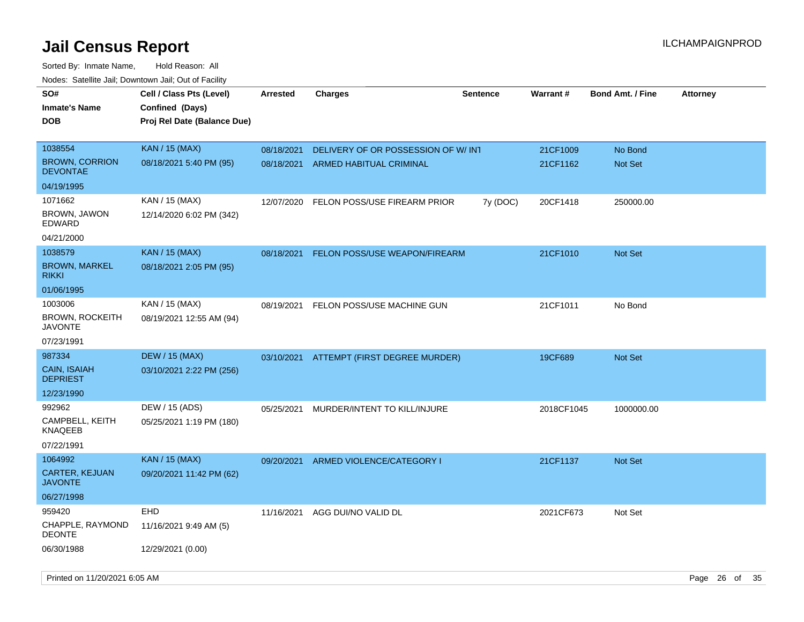| soupois catomic can, Dominomii can, Cat or I domt<br>SO#<br><b>Inmate's Name</b><br><b>DOB</b> | Cell / Class Pts (Level)<br>Confined (Days)<br>Proj Rel Date (Balance Due) | <b>Arrested</b>          | <b>Charges</b>                                                       | <b>Sentence</b> | Warrant#             | <b>Bond Amt. / Fine</b> | <b>Attorney</b> |
|------------------------------------------------------------------------------------------------|----------------------------------------------------------------------------|--------------------------|----------------------------------------------------------------------|-----------------|----------------------|-------------------------|-----------------|
| 1038554<br><b>BROWN, CORRION</b><br><b>DEVONTAE</b>                                            | <b>KAN / 15 (MAX)</b><br>08/18/2021 5:40 PM (95)                           | 08/18/2021<br>08/18/2021 | DELIVERY OF OR POSSESSION OF W/INT<br><b>ARMED HABITUAL CRIMINAL</b> |                 | 21CF1009<br>21CF1162 | No Bond<br>Not Set      |                 |
| 04/19/1995                                                                                     |                                                                            |                          |                                                                      |                 |                      |                         |                 |
| 1071662<br>BROWN, JAWON<br>EDWARD                                                              | KAN / 15 (MAX)<br>12/14/2020 6:02 PM (342)                                 | 12/07/2020               | FELON POSS/USE FIREARM PRIOR                                         | 7y (DOC)        | 20CF1418             | 250000.00               |                 |
| 04/21/2000                                                                                     |                                                                            |                          |                                                                      |                 |                      |                         |                 |
| 1038579<br><b>BROWN, MARKEL</b><br>rikki                                                       | <b>KAN / 15 (MAX)</b><br>08/18/2021 2:05 PM (95)                           | 08/18/2021               | FELON POSS/USE WEAPON/FIREARM                                        |                 | 21CF1010             | Not Set                 |                 |
| 01/06/1995                                                                                     |                                                                            |                          |                                                                      |                 |                      |                         |                 |
| 1003006<br><b>BROWN, ROCKEITH</b><br><b>JAVONTE</b><br>07/23/1991                              | KAN / 15 (MAX)<br>08/19/2021 12:55 AM (94)                                 | 08/19/2021               | FELON POSS/USE MACHINE GUN                                           |                 | 21CF1011             | No Bond                 |                 |
| 987334<br>CAIN, ISAIAH<br><b>DEPRIEST</b><br>12/23/1990                                        | <b>DEW / 15 (MAX)</b><br>03/10/2021 2:22 PM (256)                          | 03/10/2021               | ATTEMPT (FIRST DEGREE MURDER)                                        |                 | 19CF689              | Not Set                 |                 |
| 992962<br>CAMPBELL, KEITH<br>KNAQEEB<br>07/22/1991                                             | DEW / 15 (ADS)<br>05/25/2021 1:19 PM (180)                                 | 05/25/2021               | MURDER/INTENT TO KILL/INJURE                                         |                 | 2018CF1045           | 1000000.00              |                 |
| 1064992<br>CARTER, KEJUAN<br><b>JAVONTE</b><br>06/27/1998                                      | <b>KAN / 15 (MAX)</b><br>09/20/2021 11:42 PM (62)                          | 09/20/2021               | ARMED VIOLENCE/CATEGORY I                                            |                 | 21CF1137             | Not Set                 |                 |
| 959420<br>CHAPPLE, RAYMOND<br>DEONTE<br>06/30/1988                                             | <b>EHD</b><br>11/16/2021 9:49 AM (5)<br>12/29/2021 (0.00)                  | 11/16/2021               | AGG DUI/NO VALID DL                                                  |                 | 2021CF673            | Not Set                 |                 |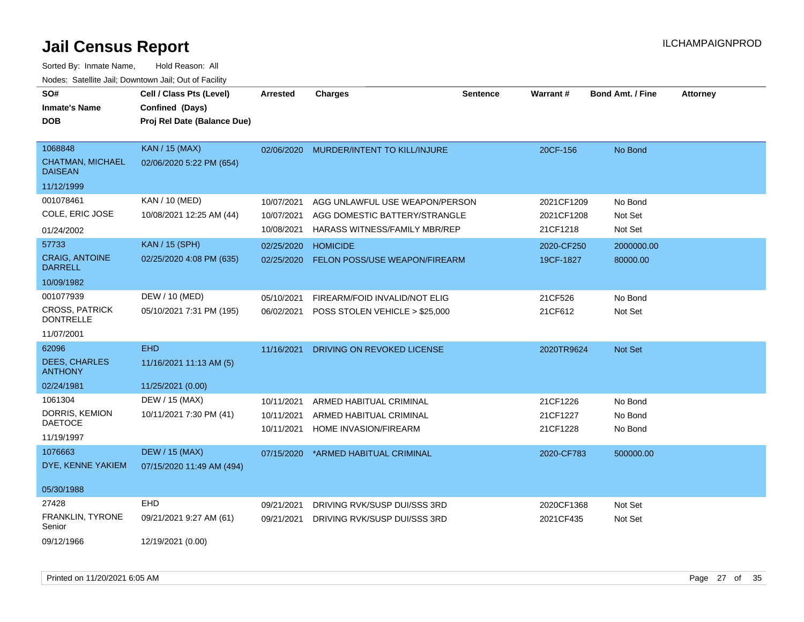| SO#<br><b>Inmate's Name</b><br><b>DOB</b>                            | Cell / Class Pts (Level)<br>Confined (Days)<br>Proj Rel Date (Balance Due) | <b>Arrested</b>                        | <b>Charges</b>                                                                                   | <b>Sentence</b> | Warrant#                             | <b>Bond Amt. / Fine</b>       | <b>Attorney</b> |
|----------------------------------------------------------------------|----------------------------------------------------------------------------|----------------------------------------|--------------------------------------------------------------------------------------------------|-----------------|--------------------------------------|-------------------------------|-----------------|
| 1068848<br><b>CHATMAN, MICHAEL</b><br><b>DAISEAN</b><br>11/12/1999   | <b>KAN / 15 (MAX)</b><br>02/06/2020 5:22 PM (654)                          | 02/06/2020                             | MURDER/INTENT TO KILL/INJURE                                                                     |                 | 20CF-156                             | No Bond                       |                 |
| 001078461<br>COLE, ERIC JOSE<br>01/24/2002                           | KAN / 10 (MED)<br>10/08/2021 12:25 AM (44)                                 | 10/07/2021<br>10/07/2021<br>10/08/2021 | AGG UNLAWFUL USE WEAPON/PERSON<br>AGG DOMESTIC BATTERY/STRANGLE<br>HARASS WITNESS/FAMILY MBR/REP |                 | 2021CF1209<br>2021CF1208<br>21CF1218 | No Bond<br>Not Set<br>Not Set |                 |
| 57733<br><b>CRAIG, ANTOINE</b><br><b>DARRELL</b><br>10/09/1982       | <b>KAN / 15 (SPH)</b><br>02/25/2020 4:08 PM (635)                          | 02/25/2020<br>02/25/2020               | <b>HOMICIDE</b><br>FELON POSS/USE WEAPON/FIREARM                                                 |                 | 2020-CF250<br>19CF-1827              | 2000000.00<br>80000.00        |                 |
| 001077939<br><b>CROSS, PATRICK</b><br><b>DONTRELLE</b><br>11/07/2001 | DEW / 10 (MED)<br>05/10/2021 7:31 PM (195)                                 | 05/10/2021<br>06/02/2021               | FIREARM/FOID INVALID/NOT ELIG<br>POSS STOLEN VEHICLE > \$25,000                                  |                 | 21CF526<br>21CF612                   | No Bond<br>Not Set            |                 |
| 62096<br><b>DEES, CHARLES</b><br><b>ANTHONY</b><br>02/24/1981        | <b>EHD</b><br>11/16/2021 11:13 AM (5)<br>11/25/2021 (0.00)                 | 11/16/2021                             | DRIVING ON REVOKED LICENSE                                                                       |                 | 2020TR9624                           | Not Set                       |                 |
| 1061304<br>DORRIS, KEMION<br><b>DAETOCE</b><br>11/19/1997            | DEW / 15 (MAX)<br>10/11/2021 7:30 PM (41)                                  | 10/11/2021<br>10/11/2021<br>10/11/2021 | ARMED HABITUAL CRIMINAL<br>ARMED HABITUAL CRIMINAL<br>HOME INVASION/FIREARM                      |                 | 21CF1226<br>21CF1227<br>21CF1228     | No Bond<br>No Bond<br>No Bond |                 |
| 1076663<br>DYE, KENNE YAKIEM<br>05/30/1988                           | <b>DEW / 15 (MAX)</b><br>07/15/2020 11:49 AM (494)                         | 07/15/2020                             | *ARMED HABITUAL CRIMINAL                                                                         |                 | 2020-CF783                           | 500000.00                     |                 |
| 27428<br>FRANKLIN, TYRONE<br>Senior<br>09/12/1966                    | <b>EHD</b><br>09/21/2021 9:27 AM (61)<br>12/19/2021 (0.00)                 | 09/21/2021<br>09/21/2021               | DRIVING RVK/SUSP DUI/SSS 3RD<br>DRIVING RVK/SUSP DUI/SSS 3RD                                     |                 | 2020CF1368<br>2021CF435              | Not Set<br>Not Set            |                 |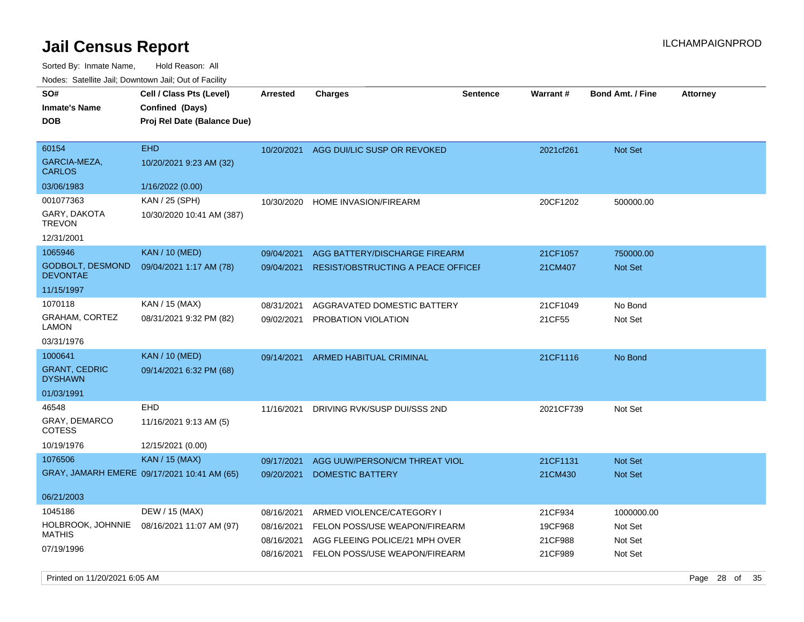Sorted By: Inmate Name, Hold Reason: All Nodes: Satellite Jail; Downtown Jail; Out of Facility

| SO#<br><b>Inmate's Name</b><br><b>DOB</b>                   | Cell / Class Pts (Level)<br>Confined (Days)<br>Proj Rel Date (Balance Due) | <b>Arrested</b>                        | <b>Charges</b>                                                                               | <b>Sentence</b> | Warrant #                     | <b>Bond Amt. / Fine</b>          | <b>Attorney</b> |
|-------------------------------------------------------------|----------------------------------------------------------------------------|----------------------------------------|----------------------------------------------------------------------------------------------|-----------------|-------------------------------|----------------------------------|-----------------|
| 60154<br>GARCIA-MEZA,<br><b>CARLOS</b>                      | <b>EHD</b><br>10/20/2021 9:23 AM (32)                                      |                                        | 10/20/2021 AGG DUI/LIC SUSP OR REVOKED                                                       |                 | 2021cf261                     | Not Set                          |                 |
| 03/06/1983                                                  | 1/16/2022 (0.00)                                                           |                                        |                                                                                              |                 |                               |                                  |                 |
| 001077363<br>GARY, DAKOTA<br><b>TREVON</b>                  | KAN / 25 (SPH)<br>10/30/2020 10:41 AM (387)                                | 10/30/2020                             | HOME INVASION/FIREARM                                                                        |                 | 20CF1202                      | 500000.00                        |                 |
| 12/31/2001                                                  |                                                                            |                                        |                                                                                              |                 |                               |                                  |                 |
| 1065946<br><b>GODBOLT, DESMOND</b><br><b>DEVONTAE</b>       | <b>KAN / 10 (MED)</b><br>09/04/2021 1:17 AM (78)                           | 09/04/2021<br>09/04/2021               | AGG BATTERY/DISCHARGE FIREARM<br>RESIST/OBSTRUCTING A PEACE OFFICEF                          |                 | 21CF1057<br>21CM407           | 750000.00<br>Not Set             |                 |
| 11/15/1997                                                  |                                                                            |                                        |                                                                                              |                 |                               |                                  |                 |
| 1070118                                                     | KAN / 15 (MAX)                                                             | 08/31/2021                             | AGGRAVATED DOMESTIC BATTERY                                                                  |                 | 21CF1049                      | No Bond                          |                 |
| GRAHAM, CORTEZ<br><b>LAMON</b>                              | 08/31/2021 9:32 PM (82)                                                    | 09/02/2021                             | PROBATION VIOLATION                                                                          |                 | 21CF55                        | Not Set                          |                 |
| 03/31/1976                                                  |                                                                            |                                        |                                                                                              |                 |                               |                                  |                 |
| 1000641                                                     | <b>KAN / 10 (MED)</b>                                                      | 09/14/2021                             | <b>ARMED HABITUAL CRIMINAL</b>                                                               |                 | 21CF1116                      | No Bond                          |                 |
| <b>GRANT, CEDRIC</b><br><b>DYSHAWN</b>                      | 09/14/2021 6:32 PM (68)                                                    |                                        |                                                                                              |                 |                               |                                  |                 |
| 01/03/1991                                                  |                                                                            |                                        |                                                                                              |                 |                               |                                  |                 |
| 46548                                                       | EHD                                                                        | 11/16/2021                             | DRIVING RVK/SUSP DUI/SSS 2ND                                                                 |                 | 2021CF739                     | Not Set                          |                 |
| GRAY, DEMARCO<br><b>COTESS</b>                              | 11/16/2021 9:13 AM (5)                                                     |                                        |                                                                                              |                 |                               |                                  |                 |
| 10/19/1976                                                  | 12/15/2021 (0.00)                                                          |                                        |                                                                                              |                 |                               |                                  |                 |
| 1076506                                                     | <b>KAN / 15 (MAX)</b>                                                      | 09/17/2021                             | AGG UUW/PERSON/CM THREAT VIOL                                                                |                 | 21CF1131                      | <b>Not Set</b>                   |                 |
|                                                             | GRAY, JAMARH EMERE 09/17/2021 10:41 AM (65)                                | 09/20/2021                             | <b>DOMESTIC BATTERY</b>                                                                      |                 | 21CM430                       | <b>Not Set</b>                   |                 |
| 06/21/2003                                                  |                                                                            |                                        |                                                                                              |                 |                               |                                  |                 |
| 1045186<br>HOLBROOK, JOHNNIE<br><b>MATHIS</b><br>07/19/1996 | DEW / 15 (MAX)<br>08/16/2021 11:07 AM (97)                                 | 08/16/2021<br>08/16/2021<br>08/16/2021 | ARMED VIOLENCE/CATEGORY I<br>FELON POSS/USE WEAPON/FIREARM<br>AGG FLEEING POLICE/21 MPH OVER |                 | 21CF934<br>19CF968<br>21CF988 | 1000000.00<br>Not Set<br>Not Set |                 |
|                                                             |                                                                            | 08/16/2021                             | FELON POSS/USE WEAPON/FIREARM                                                                |                 | 21CF989                       | Not Set                          |                 |

Printed on 11/20/2021 6:05 AM **Page 28** of 35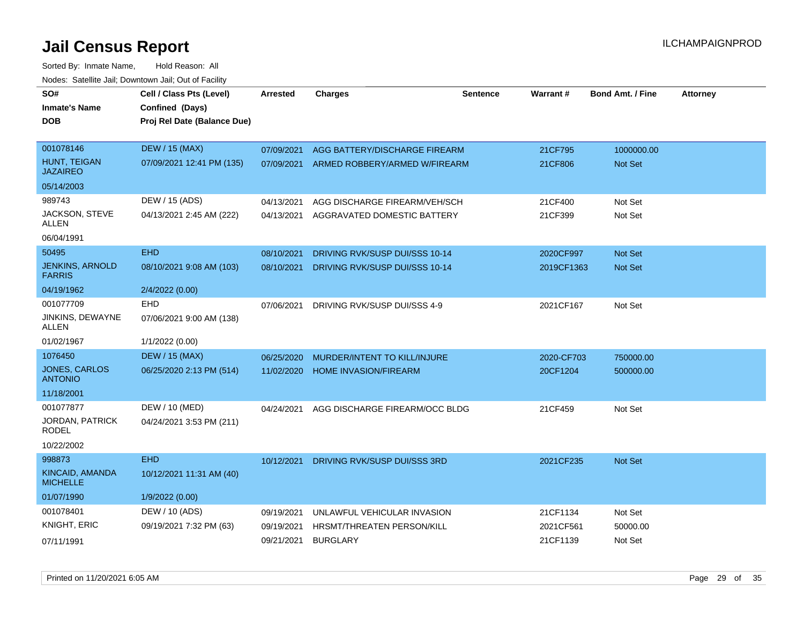| SO#<br><b>Inmate's Name</b><br>DOB      | Cell / Class Pts (Level)<br>Confined (Days)<br>Proj Rel Date (Balance Due) | <b>Arrested</b> | <b>Charges</b>                    | <b>Sentence</b> | <b>Warrant#</b> | <b>Bond Amt. / Fine</b> | <b>Attorney</b> |
|-----------------------------------------|----------------------------------------------------------------------------|-----------------|-----------------------------------|-----------------|-----------------|-------------------------|-----------------|
| 001078146                               | <b>DEW / 15 (MAX)</b>                                                      | 07/09/2021      | AGG BATTERY/DISCHARGE FIREARM     |                 | 21CF795         | 1000000.00              |                 |
| HUNT, TEIGAN<br><b>JAZAIREO</b>         | 07/09/2021 12:41 PM (135)                                                  | 07/09/2021      | ARMED ROBBERY/ARMED W/FIREARM     |                 | 21CF806         | Not Set                 |                 |
| 05/14/2003                              |                                                                            |                 |                                   |                 |                 |                         |                 |
| 989743                                  | DEW / 15 (ADS)                                                             | 04/13/2021      | AGG DISCHARGE FIREARM/VEH/SCH     |                 | 21CF400         | Not Set                 |                 |
| <b>JACKSON, STEVE</b><br>ALLEN          | 04/13/2021 2:45 AM (222)                                                   | 04/13/2021      | AGGRAVATED DOMESTIC BATTERY       |                 | 21CF399         | Not Set                 |                 |
| 06/04/1991                              |                                                                            |                 |                                   |                 |                 |                         |                 |
| 50495                                   | <b>EHD</b>                                                                 | 08/10/2021      | DRIVING RVK/SUSP DUI/SSS 10-14    |                 | 2020CF997       | Not Set                 |                 |
| <b>JENKINS, ARNOLD</b><br><b>FARRIS</b> | 08/10/2021 9:08 AM (103)                                                   | 08/10/2021      | DRIVING RVK/SUSP DUI/SSS 10-14    |                 | 2019CF1363      | <b>Not Set</b>          |                 |
| 04/19/1962                              | 2/4/2022 (0.00)                                                            |                 |                                   |                 |                 |                         |                 |
| 001077709                               | EHD                                                                        | 07/06/2021      | DRIVING RVK/SUSP DUI/SSS 4-9      |                 | 2021CF167       | Not Set                 |                 |
| JINKINS, DEWAYNE<br>ALLEN               | 07/06/2021 9:00 AM (138)                                                   |                 |                                   |                 |                 |                         |                 |
| 01/02/1967                              | 1/1/2022 (0.00)                                                            |                 |                                   |                 |                 |                         |                 |
| 1076450                                 | <b>DEW / 15 (MAX)</b>                                                      | 06/25/2020      | MURDER/INTENT TO KILL/INJURE      |                 | 2020-CF703      | 750000.00               |                 |
| <b>JONES, CARLOS</b><br><b>ANTONIO</b>  | 06/25/2020 2:13 PM (514)                                                   | 11/02/2020      | <b>HOME INVASION/FIREARM</b>      |                 | 20CF1204        | 500000.00               |                 |
| 11/18/2001                              |                                                                            |                 |                                   |                 |                 |                         |                 |
| 001077877                               | DEW / 10 (MED)                                                             | 04/24/2021      | AGG DISCHARGE FIREARM/OCC BLDG    |                 | 21CF459         | Not Set                 |                 |
| JORDAN, PATRICK<br>RODEL                | 04/24/2021 3:53 PM (211)                                                   |                 |                                   |                 |                 |                         |                 |
| 10/22/2002                              |                                                                            |                 |                                   |                 |                 |                         |                 |
| 998873                                  | <b>EHD</b>                                                                 | 10/12/2021      | DRIVING RVK/SUSP DUI/SSS 3RD      |                 | 2021CF235       | Not Set                 |                 |
| KINCAID, AMANDA<br><b>MICHELLE</b>      | 10/12/2021 11:31 AM (40)                                                   |                 |                                   |                 |                 |                         |                 |
| 01/07/1990                              | 1/9/2022 (0.00)                                                            |                 |                                   |                 |                 |                         |                 |
| 001078401                               | DEW / 10 (ADS)                                                             | 09/19/2021      | UNLAWFUL VEHICULAR INVASION       |                 | 21CF1134        | Not Set                 |                 |
| <b>KNIGHT, ERIC</b>                     | 09/19/2021 7:32 PM (63)                                                    | 09/19/2021      | <b>HRSMT/THREATEN PERSON/KILL</b> |                 | 2021CF561       | 50000.00                |                 |
| 07/11/1991                              |                                                                            | 09/21/2021      | <b>BURGLARY</b>                   |                 | 21CF1139        | Not Set                 |                 |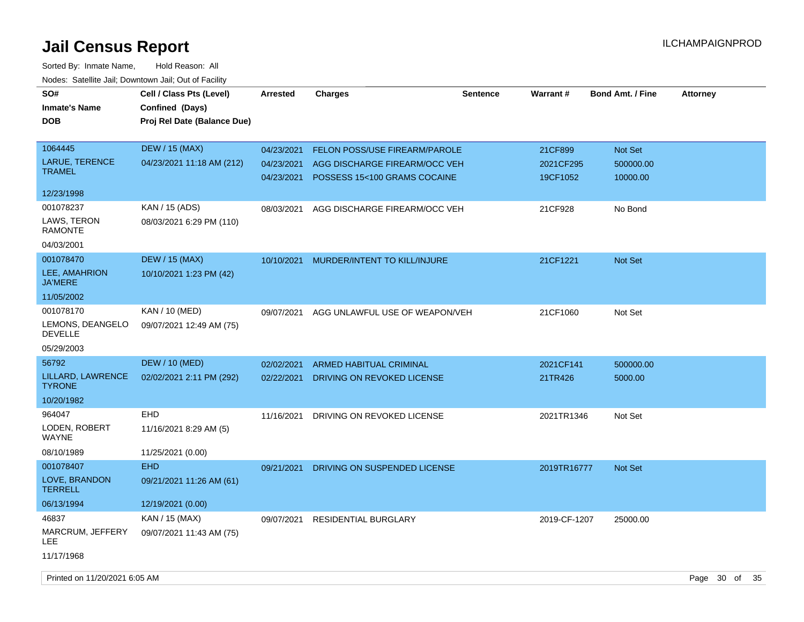| SO#<br><b>Inmate's Name</b><br><b>DOB</b>         | Cell / Class Pts (Level)<br>Confined (Days)<br>Proj Rel Date (Balance Due) | <b>Arrested</b>                        | <b>Charges</b>                                                                                        | <b>Sentence</b> | <b>Warrant#</b>                  | <b>Bond Amt. / Fine</b>          | <b>Attorney</b> |
|---------------------------------------------------|----------------------------------------------------------------------------|----------------------------------------|-------------------------------------------------------------------------------------------------------|-----------------|----------------------------------|----------------------------------|-----------------|
| 1064445<br><b>LARUE, TERENCE</b><br><b>TRAMEL</b> | <b>DEW / 15 (MAX)</b><br>04/23/2021 11:18 AM (212)                         | 04/23/2021<br>04/23/2021<br>04/23/2021 | <b>FELON POSS/USE FIREARM/PAROLE</b><br>AGG DISCHARGE FIREARM/OCC VEH<br>POSSESS 15<100 GRAMS COCAINE |                 | 21CF899<br>2021CF295<br>19CF1052 | Not Set<br>500000.00<br>10000.00 |                 |
| 12/23/1998                                        |                                                                            |                                        |                                                                                                       |                 |                                  |                                  |                 |
| 001078237<br>LAWS, TERON<br>RAMONTE               | KAN / 15 (ADS)<br>08/03/2021 6:29 PM (110)                                 | 08/03/2021                             | AGG DISCHARGE FIREARM/OCC VEH                                                                         |                 | 21CF928                          | No Bond                          |                 |
| 04/03/2001                                        |                                                                            |                                        |                                                                                                       |                 |                                  |                                  |                 |
| 001078470<br>LEE, AMAHRION<br><b>JA'MERE</b>      | <b>DEW / 15 (MAX)</b><br>10/10/2021 1:23 PM (42)                           | 10/10/2021                             | MURDER/INTENT TO KILL/INJURE                                                                          |                 | 21CF1221                         | Not Set                          |                 |
| 11/05/2002                                        |                                                                            |                                        |                                                                                                       |                 |                                  |                                  |                 |
| 001078170<br>LEMONS, DEANGELO<br><b>DEVELLE</b>   | KAN / 10 (MED)<br>09/07/2021 12:49 AM (75)                                 | 09/07/2021                             | AGG UNLAWFUL USE OF WEAPON/VEH                                                                        |                 | 21CF1060                         | Not Set                          |                 |
| 05/29/2003                                        |                                                                            |                                        |                                                                                                       |                 |                                  |                                  |                 |
| 56792                                             | <b>DEW / 10 (MED)</b>                                                      | 02/02/2021                             | ARMED HABITUAL CRIMINAL                                                                               |                 | 2021CF141                        | 500000.00                        |                 |
| LILLARD, LAWRENCE<br><b>TYRONE</b>                | 02/02/2021 2:11 PM (292)                                                   | 02/22/2021                             | DRIVING ON REVOKED LICENSE                                                                            |                 | 21TR426                          | 5000.00                          |                 |
| 10/20/1982                                        |                                                                            |                                        |                                                                                                       |                 |                                  |                                  |                 |
| 964047<br>LODEN, ROBERT<br><b>WAYNE</b>           | EHD<br>11/16/2021 8:29 AM (5)                                              | 11/16/2021                             | DRIVING ON REVOKED LICENSE                                                                            |                 | 2021TR1346                       | Not Set                          |                 |
| 08/10/1989                                        | 11/25/2021 (0.00)                                                          |                                        |                                                                                                       |                 |                                  |                                  |                 |
| 001078407                                         | <b>EHD</b>                                                                 | 09/21/2021                             | DRIVING ON SUSPENDED LICENSE                                                                          |                 | 2019TR16777                      | Not Set                          |                 |
| LOVE, BRANDON<br><b>TERRELL</b>                   | 09/21/2021 11:26 AM (61)                                                   |                                        |                                                                                                       |                 |                                  |                                  |                 |
| 06/13/1994                                        | 12/19/2021 (0.00)                                                          |                                        |                                                                                                       |                 |                                  |                                  |                 |
| 46837<br>MARCRUM, JEFFERY<br>LEE                  | KAN / 15 (MAX)<br>09/07/2021 11:43 AM (75)                                 | 09/07/2021                             | <b>RESIDENTIAL BURGLARY</b>                                                                           |                 | 2019-CF-1207                     | 25000.00                         |                 |
| 11/17/1968                                        |                                                                            |                                        |                                                                                                       |                 |                                  |                                  |                 |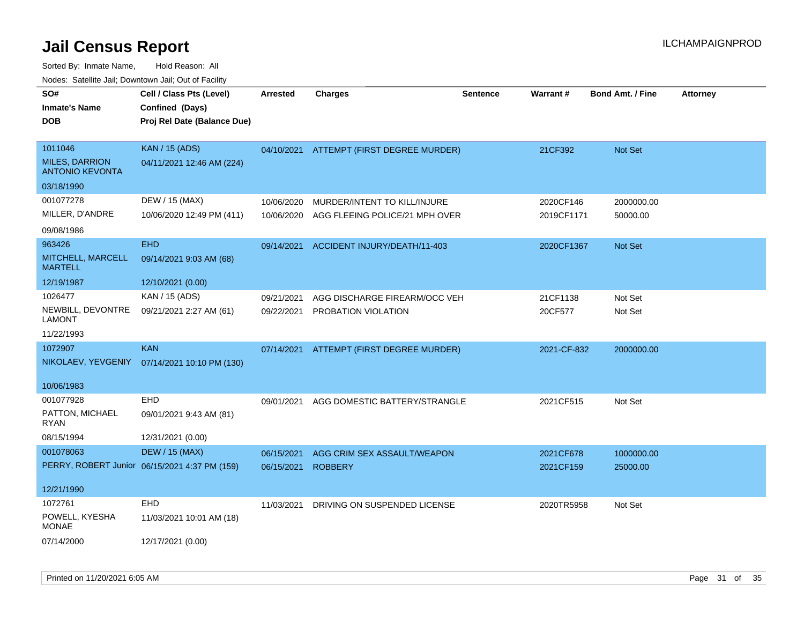| SO#<br><b>Inmate's Name</b><br><b>DOB</b>                  | Cell / Class Pts (Level)<br>Confined (Days)<br>Proj Rel Date (Balance Due) | <b>Arrested</b> | <b>Charges</b>                 | <b>Sentence</b> | <b>Warrant#</b> | Bond Amt. / Fine | <b>Attorney</b> |
|------------------------------------------------------------|----------------------------------------------------------------------------|-----------------|--------------------------------|-----------------|-----------------|------------------|-----------------|
| 1011046<br><b>MILES, DARRION</b><br><b>ANTONIO KEVONTA</b> | <b>KAN / 15 (ADS)</b><br>04/11/2021 12:46 AM (224)                         | 04/10/2021      | ATTEMPT (FIRST DEGREE MURDER)  |                 | 21CF392         | Not Set          |                 |
| 03/18/1990                                                 |                                                                            |                 |                                |                 |                 |                  |                 |
| 001077278                                                  | DEW / 15 (MAX)                                                             | 10/06/2020      | MURDER/INTENT TO KILL/INJURE   |                 | 2020CF146       | 2000000.00       |                 |
| MILLER, D'ANDRE                                            | 10/06/2020 12:49 PM (411)                                                  | 10/06/2020      | AGG FLEEING POLICE/21 MPH OVER |                 | 2019CF1171      | 50000.00         |                 |
| 09/08/1986                                                 |                                                                            |                 |                                |                 |                 |                  |                 |
| 963426                                                     | <b>EHD</b>                                                                 | 09/14/2021      | ACCIDENT INJURY/DEATH/11-403   |                 | 2020CF1367      | Not Set          |                 |
| MITCHELL, MARCELL<br><b>MARTELL</b>                        | 09/14/2021 9:03 AM (68)                                                    |                 |                                |                 |                 |                  |                 |
| 12/19/1987                                                 | 12/10/2021 (0.00)                                                          |                 |                                |                 |                 |                  |                 |
| 1026477                                                    | KAN / 15 (ADS)                                                             | 09/21/2021      | AGG DISCHARGE FIREARM/OCC VEH  |                 | 21CF1138        | Not Set          |                 |
| NEWBILL, DEVONTRE<br><b>LAMONT</b>                         | 09/21/2021 2:27 AM (61)                                                    | 09/22/2021      | PROBATION VIOLATION            |                 | 20CF577         | Not Set          |                 |
| 11/22/1993                                                 |                                                                            |                 |                                |                 |                 |                  |                 |
| 1072907                                                    | <b>KAN</b>                                                                 | 07/14/2021      | ATTEMPT (FIRST DEGREE MURDER)  |                 | 2021-CF-832     | 2000000.00       |                 |
| NIKOLAEV, YEVGENIY                                         | 07/14/2021 10:10 PM (130)                                                  |                 |                                |                 |                 |                  |                 |
| 10/06/1983                                                 |                                                                            |                 |                                |                 |                 |                  |                 |
| 001077928                                                  | EHD                                                                        | 09/01/2021      | AGG DOMESTIC BATTERY/STRANGLE  |                 | 2021CF515       | Not Set          |                 |
| PATTON, MICHAEL<br><b>RYAN</b>                             | 09/01/2021 9:43 AM (81)                                                    |                 |                                |                 |                 |                  |                 |
| 08/15/1994                                                 | 12/31/2021 (0.00)                                                          |                 |                                |                 |                 |                  |                 |
| 001078063                                                  | <b>DEW / 15 (MAX)</b>                                                      | 06/15/2021      | AGG CRIM SEX ASSAULT/WEAPON    |                 | 2021CF678       | 1000000.00       |                 |
|                                                            | PERRY, ROBERT Junior 06/15/2021 4:37 PM (159)                              | 06/15/2021      | <b>ROBBERY</b>                 |                 | 2021CF159       | 25000.00         |                 |
| 12/21/1990                                                 |                                                                            |                 |                                |                 |                 |                  |                 |
| 1072761                                                    | EHD                                                                        | 11/03/2021      | DRIVING ON SUSPENDED LICENSE   |                 | 2020TR5958      | Not Set          |                 |
| POWELL, KYESHA<br><b>MONAE</b>                             | 11/03/2021 10:01 AM (18)                                                   |                 |                                |                 |                 |                  |                 |
| 07/14/2000                                                 | 12/17/2021 (0.00)                                                          |                 |                                |                 |                 |                  |                 |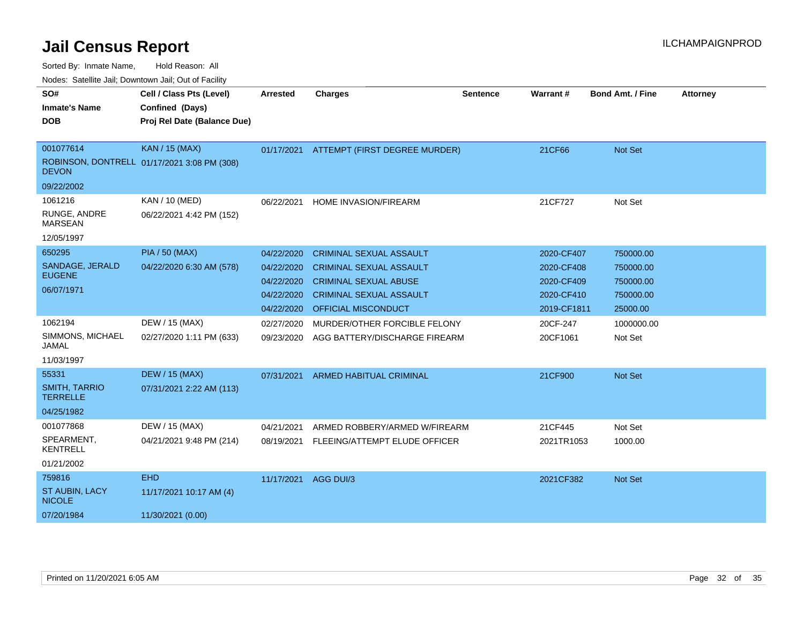| SO#<br><b>Inmate's Name</b>             | Cell / Class Pts (Level)<br>Confined (Days) | <b>Arrested</b> | <b>Charges</b>                           | <b>Sentence</b> | Warrant#    | <b>Bond Amt. / Fine</b> | <b>Attorney</b> |
|-----------------------------------------|---------------------------------------------|-----------------|------------------------------------------|-----------------|-------------|-------------------------|-----------------|
|                                         |                                             |                 |                                          |                 |             |                         |                 |
| <b>DOB</b>                              | Proj Rel Date (Balance Due)                 |                 |                                          |                 |             |                         |                 |
|                                         |                                             |                 |                                          |                 |             |                         |                 |
| 001077614                               | <b>KAN / 15 (MAX)</b>                       |                 | 01/17/2021 ATTEMPT (FIRST DEGREE MURDER) |                 | 21CF66      | <b>Not Set</b>          |                 |
| <b>DEVON</b>                            | ROBINSON, DONTRELL 01/17/2021 3:08 PM (308) |                 |                                          |                 |             |                         |                 |
| 09/22/2002                              |                                             |                 |                                          |                 |             |                         |                 |
| 1061216                                 | KAN / 10 (MED)                              | 06/22/2021      | HOME INVASION/FIREARM                    |                 | 21CF727     | Not Set                 |                 |
| RUNGE, ANDRE<br><b>MARSEAN</b>          | 06/22/2021 4:42 PM (152)                    |                 |                                          |                 |             |                         |                 |
| 12/05/1997                              |                                             |                 |                                          |                 |             |                         |                 |
| 650295                                  | <b>PIA / 50 (MAX)</b>                       | 04/22/2020      | <b>CRIMINAL SEXUAL ASSAULT</b>           |                 | 2020-CF407  | 750000.00               |                 |
| SANDAGE, JERALD                         | 04/22/2020 6:30 AM (578)                    | 04/22/2020      | <b>CRIMINAL SEXUAL ASSAULT</b>           |                 | 2020-CF408  | 750000.00               |                 |
| <b>EUGENE</b>                           |                                             | 04/22/2020      | <b>CRIMINAL SEXUAL ABUSE</b>             |                 | 2020-CF409  | 750000.00               |                 |
| 06/07/1971                              |                                             | 04/22/2020      | <b>CRIMINAL SEXUAL ASSAULT</b>           |                 | 2020-CF410  | 750000.00               |                 |
|                                         |                                             | 04/22/2020      | <b>OFFICIAL MISCONDUCT</b>               |                 | 2019-CF1811 | 25000.00                |                 |
| 1062194                                 | DEW / 15 (MAX)                              | 02/27/2020      | MURDER/OTHER FORCIBLE FELONY             |                 | 20CF-247    | 1000000.00              |                 |
| SIMMONS, MICHAEL<br>JAMAL               | 02/27/2020 1:11 PM (633)                    | 09/23/2020      | AGG BATTERY/DISCHARGE FIREARM            |                 | 20CF1061    | Not Set                 |                 |
| 11/03/1997                              |                                             |                 |                                          |                 |             |                         |                 |
| 55331                                   | <b>DEW / 15 (MAX)</b>                       | 07/31/2021      | ARMED HABITUAL CRIMINAL                  |                 | 21CF900     | <b>Not Set</b>          |                 |
| <b>SMITH, TARRIO</b><br><b>TERRELLE</b> | 07/31/2021 2:22 AM (113)                    |                 |                                          |                 |             |                         |                 |
| 04/25/1982                              |                                             |                 |                                          |                 |             |                         |                 |
| 001077868                               | DEW / 15 (MAX)                              | 04/21/2021      | ARMED ROBBERY/ARMED W/FIREARM            |                 | 21CF445     | Not Set                 |                 |
| SPEARMENT,<br><b>KENTRELL</b>           | 04/21/2021 9:48 PM (214)                    | 08/19/2021      | FLEEING/ATTEMPT ELUDE OFFICER            |                 | 2021TR1053  | 1000.00                 |                 |
| 01/21/2002                              |                                             |                 |                                          |                 |             |                         |                 |
| 759816                                  | <b>EHD</b>                                  | 11/17/2021      | AGG DUI/3                                |                 | 2021CF382   | <b>Not Set</b>          |                 |
| <b>ST AUBIN, LACY</b><br><b>NICOLE</b>  | 11/17/2021 10:17 AM (4)                     |                 |                                          |                 |             |                         |                 |
| 07/20/1984                              | 11/30/2021 (0.00)                           |                 |                                          |                 |             |                         |                 |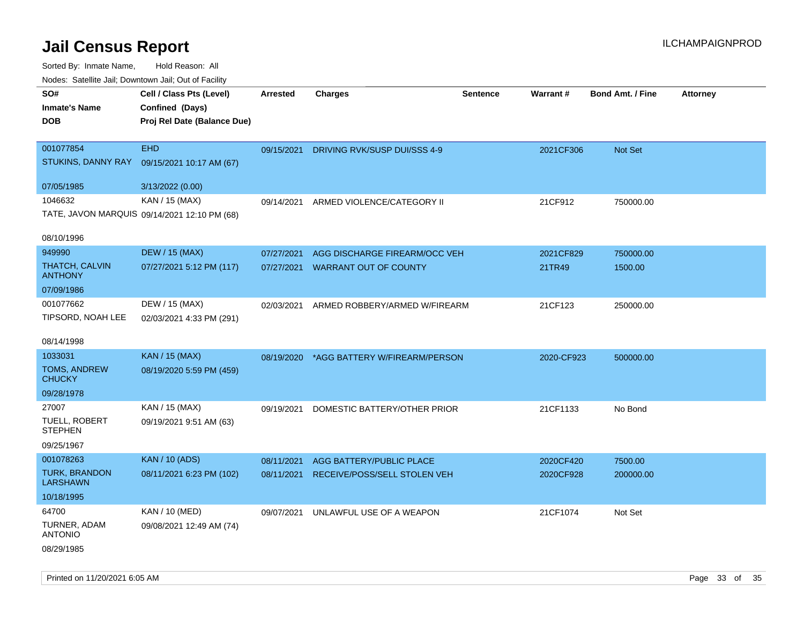Sorted By: Inmate Name, Hold Reason: All

| Nodes: Satellite Jail; Downtown Jail; Out of Facility |                                              |                 |                                          |                 |                 |                  |                 |  |
|-------------------------------------------------------|----------------------------------------------|-----------------|------------------------------------------|-----------------|-----------------|------------------|-----------------|--|
| SO#                                                   | Cell / Class Pts (Level)                     | <b>Arrested</b> | <b>Charges</b>                           | <b>Sentence</b> | <b>Warrant#</b> | Bond Amt. / Fine | <b>Attorney</b> |  |
| <b>Inmate's Name</b>                                  | Confined (Days)                              |                 |                                          |                 |                 |                  |                 |  |
| <b>DOB</b>                                            | Proj Rel Date (Balance Due)                  |                 |                                          |                 |                 |                  |                 |  |
|                                                       |                                              |                 |                                          |                 |                 |                  |                 |  |
| 001077854                                             | <b>EHD</b>                                   | 09/15/2021      | DRIVING RVK/SUSP DUI/SSS 4-9             |                 | 2021CF306       | Not Set          |                 |  |
| STUKINS, DANNY RAY                                    | 09/15/2021 10:17 AM (67)                     |                 |                                          |                 |                 |                  |                 |  |
| 07/05/1985                                            | 3/13/2022 (0.00)                             |                 |                                          |                 |                 |                  |                 |  |
| 1046632                                               | KAN / 15 (MAX)                               |                 | 09/14/2021 ARMED VIOLENCE/CATEGORY II    |                 | 21CF912         | 750000.00        |                 |  |
|                                                       | TATE, JAVON MARQUIS 09/14/2021 12:10 PM (68) |                 |                                          |                 |                 |                  |                 |  |
|                                                       |                                              |                 |                                          |                 |                 |                  |                 |  |
| 08/10/1996                                            |                                              |                 |                                          |                 |                 |                  |                 |  |
| 949990                                                | <b>DEW / 15 (MAX)</b>                        | 07/27/2021      | AGG DISCHARGE FIREARM/OCC VEH            |                 | 2021CF829       | 750000.00        |                 |  |
| <b>THATCH, CALVIN</b><br><b>ANTHONY</b>               | 07/27/2021 5:12 PM (117)                     | 07/27/2021      | <b>WARRANT OUT OF COUNTY</b>             |                 | 21TR49          | 1500.00          |                 |  |
|                                                       |                                              |                 |                                          |                 |                 |                  |                 |  |
| 07/09/1986                                            |                                              |                 |                                          |                 |                 |                  |                 |  |
| 001077662                                             | DEW / 15 (MAX)                               | 02/03/2021      | ARMED ROBBERY/ARMED W/FIREARM            |                 | 21CF123         | 250000.00        |                 |  |
| TIPSORD, NOAH LEE                                     | 02/03/2021 4:33 PM (291)                     |                 |                                          |                 |                 |                  |                 |  |
| 08/14/1998                                            |                                              |                 |                                          |                 |                 |                  |                 |  |
| 1033031                                               | <b>KAN / 15 (MAX)</b>                        |                 | 08/19/2020 *AGG BATTERY W/FIREARM/PERSON |                 | 2020-CF923      | 500000.00        |                 |  |
| TOMS, ANDREW                                          | 08/19/2020 5:59 PM (459)                     |                 |                                          |                 |                 |                  |                 |  |
| <b>CHUCKY</b>                                         |                                              |                 |                                          |                 |                 |                  |                 |  |
| 09/28/1978                                            |                                              |                 |                                          |                 |                 |                  |                 |  |
| 27007                                                 | KAN / 15 (MAX)                               | 09/19/2021      | DOMESTIC BATTERY/OTHER PRIOR             |                 | 21CF1133        | No Bond          |                 |  |
| TUELL, ROBERT<br><b>STEPHEN</b>                       | 09/19/2021 9:51 AM (63)                      |                 |                                          |                 |                 |                  |                 |  |
| 09/25/1967                                            |                                              |                 |                                          |                 |                 |                  |                 |  |
| 001078263                                             | <b>KAN / 10 (ADS)</b>                        | 08/11/2021      | AGG BATTERY/PUBLIC PLACE                 |                 | 2020CF420       | 7500.00          |                 |  |
| TURK, BRANDON                                         | 08/11/2021 6:23 PM (102)                     | 08/11/2021      | RECEIVE/POSS/SELL STOLEN VEH             |                 | 2020CF928       | 200000.00        |                 |  |
| <b>LARSHAWN</b>                                       |                                              |                 |                                          |                 |                 |                  |                 |  |
| 10/18/1995                                            |                                              |                 |                                          |                 |                 |                  |                 |  |
| 64700                                                 | KAN / 10 (MED)                               | 09/07/2021      | UNLAWFUL USE OF A WEAPON                 |                 | 21CF1074        | Not Set          |                 |  |
| TURNER, ADAM<br><b>ANTONIO</b>                        | 09/08/2021 12:49 AM (74)                     |                 |                                          |                 |                 |                  |                 |  |
| 08/29/1985                                            |                                              |                 |                                          |                 |                 |                  |                 |  |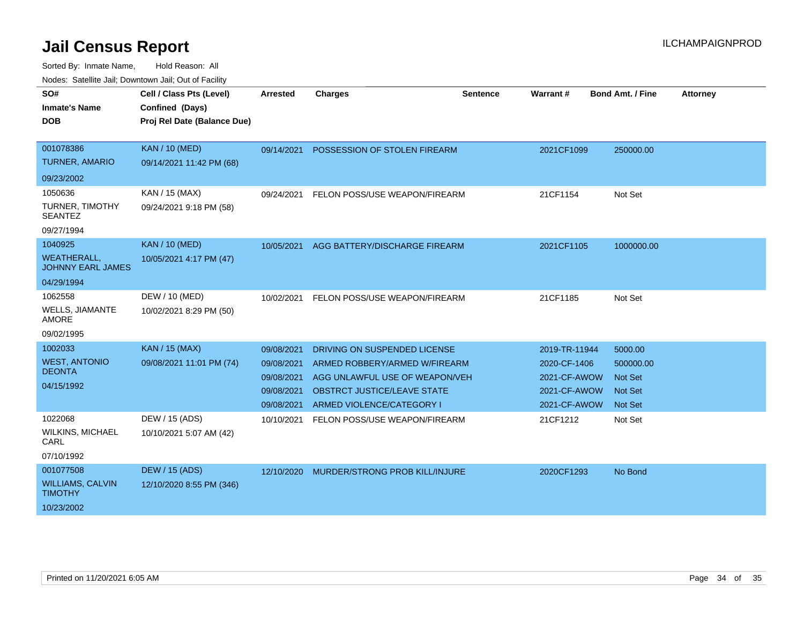| SO#<br><b>Inmate's Name</b><br><b>DOB</b>      | Cell / Class Pts (Level)<br>Confined (Days)<br>Proj Rel Date (Balance Due) | <b>Arrested</b> | <b>Charges</b>                        | Sentence | Warrant#      | <b>Bond Amt. / Fine</b> | <b>Attorney</b> |
|------------------------------------------------|----------------------------------------------------------------------------|-----------------|---------------------------------------|----------|---------------|-------------------------|-----------------|
| 001078386                                      | <b>KAN / 10 (MED)</b>                                                      | 09/14/2021      | POSSESSION OF STOLEN FIREARM          |          | 2021CF1099    | 250000.00               |                 |
| <b>TURNER, AMARIO</b>                          | 09/14/2021 11:42 PM (68)                                                   |                 |                                       |          |               |                         |                 |
| 09/23/2002                                     |                                                                            |                 |                                       |          |               |                         |                 |
| 1050636                                        | KAN / 15 (MAX)                                                             | 09/24/2021      | FELON POSS/USE WEAPON/FIREARM         |          | 21CF1154      | Not Set                 |                 |
| TURNER, TIMOTHY<br><b>SEANTEZ</b>              | 09/24/2021 9:18 PM (58)                                                    |                 |                                       |          |               |                         |                 |
| 09/27/1994                                     |                                                                            |                 |                                       |          |               |                         |                 |
| 1040925                                        | <b>KAN / 10 (MED)</b>                                                      | 10/05/2021      | AGG BATTERY/DISCHARGE FIREARM         |          | 2021CF1105    | 1000000.00              |                 |
| <b>WEATHERALL,</b><br><b>JOHNNY EARL JAMES</b> | 10/05/2021 4:17 PM (47)                                                    |                 |                                       |          |               |                         |                 |
| 04/29/1994                                     |                                                                            |                 |                                       |          |               |                         |                 |
| 1062558                                        | DEW / 10 (MED)                                                             | 10/02/2021      | FELON POSS/USE WEAPON/FIREARM         |          | 21CF1185      | Not Set                 |                 |
| <b>WELLS, JIAMANTE</b><br><b>AMORE</b>         | 10/02/2021 8:29 PM (50)                                                    |                 |                                       |          |               |                         |                 |
| 09/02/1995                                     |                                                                            |                 |                                       |          |               |                         |                 |
| 1002033                                        | <b>KAN / 15 (MAX)</b>                                                      | 09/08/2021      | DRIVING ON SUSPENDED LICENSE          |          | 2019-TR-11944 | 5000.00                 |                 |
| <b>WEST, ANTONIO</b>                           | 09/08/2021 11:01 PM (74)                                                   | 09/08/2021      | ARMED ROBBERY/ARMED W/FIREARM         |          | 2020-CF-1406  | 500000.00               |                 |
| <b>DEONTA</b>                                  |                                                                            | 09/08/2021      | AGG UNLAWFUL USE OF WEAPON/VEH        |          | 2021-CF-AWOW  | <b>Not Set</b>          |                 |
| 04/15/1992                                     |                                                                            | 09/08/2021      | <b>OBSTRCT JUSTICE/LEAVE STATE</b>    |          | 2021-CF-AWOW  | <b>Not Set</b>          |                 |
|                                                |                                                                            | 09/08/2021      | ARMED VIOLENCE/CATEGORY I             |          | 2021-CF-AWOW  | <b>Not Set</b>          |                 |
| 1022068                                        | DEW / 15 (ADS)                                                             | 10/10/2021      | FELON POSS/USE WEAPON/FIREARM         |          | 21CF1212      | Not Set                 |                 |
| <b>WILKINS, MICHAEL</b><br>CARL                | 10/10/2021 5:07 AM (42)                                                    |                 |                                       |          |               |                         |                 |
| 07/10/1992                                     |                                                                            |                 |                                       |          |               |                         |                 |
| 001077508                                      | <b>DEW / 15 (ADS)</b>                                                      | 12/10/2020      | <b>MURDER/STRONG PROB KILL/INJURE</b> |          | 2020CF1293    | No Bond                 |                 |
| <b>WILLIAMS, CALVIN</b><br><b>TIMOTHY</b>      | 12/10/2020 8:55 PM (346)                                                   |                 |                                       |          |               |                         |                 |
| 10/23/2002                                     |                                                                            |                 |                                       |          |               |                         |                 |